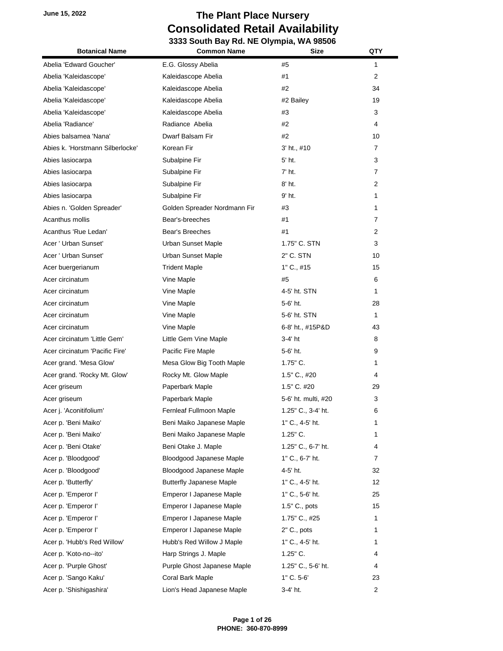| <b>Botanical Name</b>            | <b>Common Name</b>              | Size                | QTY            |
|----------------------------------|---------------------------------|---------------------|----------------|
| Abelia 'Edward Goucher'          | E.G. Glossy Abelia              | #5                  | 1              |
| Abelia 'Kaleidascope'            | Kaleidascope Abelia             | #1                  | $\overline{2}$ |
| Abelia 'Kaleidascope'            | Kaleidascope Abelia             | #2                  | 34             |
| Abelia 'Kaleidascope'            | Kaleidascope Abelia             | #2 Bailey           | 19             |
| Abelia 'Kaleidascope'            | Kaleidascope Abelia             | #3                  | 3              |
| Abelia 'Radiance'                | Radiance Abelia                 | #2                  | 4              |
| Abies balsamea 'Nana'            | Dwarf Balsam Fir                | #2                  | 10             |
| Abies k. 'Horstmann Silberlocke' | Korean Fir                      | 3' ht., #10         | 7              |
| Abies lasiocarpa                 | Subalpine Fir                   | 5' ht.              | 3              |
| Abies lasiocarpa                 | Subalpine Fir                   | $7'$ ht.            | 7              |
| Abies lasiocarpa                 | Subalpine Fir                   | 8' ht.              | 2              |
| Abies lasiocarpa                 | Subalpine Fir                   | 9' ht.              | 1              |
| Abies n. 'Golden Spreader'       | Golden Spreader Nordmann Fir    | #3                  | 1              |
| Acanthus mollis                  | Bear's-breeches                 | #1                  | 7              |
| Acanthus 'Rue Ledan'             | Bear's Breeches                 | #1                  | 2              |
| Acer ' Urban Sunset'             | Urban Sunset Maple              | 1.75" C. STN        | 3              |
| Acer ' Urban Sunset'             | Urban Sunset Maple              | 2" C. STN           | 10             |
| Acer buergerianum                | <b>Trident Maple</b>            | 1" C., #15          | 15             |
| Acer circinatum                  | Vine Maple                      | #5                  | 6              |
| Acer circinatum                  | Vine Maple                      | 4-5' ht. STN        | 1              |
| Acer circinatum                  | Vine Maple                      | 5-6' ht.            | 28             |
| Acer circinatum                  | Vine Maple                      | 5-6' ht. STN        | 1              |
| Acer circinatum                  | Vine Maple                      | 6-8' ht., #15P&D    | 43             |
| Acer circinatum 'Little Gem'     | Little Gem Vine Maple           | 3-4' ht             | 8              |
| Acer circinatum 'Pacific Fire'   | Pacific Fire Maple              | 5-6' ht.            | 9              |
| Acer grand. 'Mesa Glow'          | Mesa Glow Big Tooth Maple       | $1.75"$ C.          | 1              |
| Acer grand. 'Rocky Mt. Glow'     | Rocky Mt. Glow Maple            | 1.5" C., #20        | 4              |
| Acer griseum                     | Paperbark Maple                 | 1.5" C. #20         | 29             |
| Acer griseum                     | Paperbark Maple                 | 5-6' ht. multi, #20 | 3              |
| Acer j. 'Aconitifolium'          | Fernleaf Fullmoon Maple         | 1.25" C., 3-4' ht.  | 6              |
| Acer p. 'Beni Maiko'             | Beni Maiko Japanese Maple       | $1"$ C., 4-5' ht.   | 1              |
| Acer p. 'Beni Maiko'             | Beni Maiko Japanese Maple       | 1.25" C.            | 1              |
| Acer p. 'Beni Otake'             | Beni Otake J. Maple             | 1.25" C., 6-7' ht.  | 4              |
| Acer p. 'Bloodgood'              | Bloodgood Japanese Maple        | 1" C., 6-7' ht.     | 7              |
| Acer p. 'Bloodgood'              | Bloodgood Japanese Maple        | 4-5' ht.            | 32             |
| Acer p. 'Butterfly'              | <b>Butterfly Japanese Maple</b> | 1" C., 4-5' ht.     | 12             |
| Acer p. 'Emperor I'              | Emperor I Japanese Maple        | 1" C., 5-6' ht.     | 25             |
| Acer p. 'Emperor I'              | Emperor I Japanese Maple        | 1.5" C., pots       | 15             |
| Acer p. 'Emperor I'              | Emperor I Japanese Maple        | 1.75" C., #25       | 1              |
| Acer p. 'Emperor I'              | Emperor I Japanese Maple        | 2" C., pots         | 1              |
| Acer p. 'Hubb's Red Willow'      | Hubb's Red Willow J Maple       | 1" C., 4-5' ht.     | 1              |
| Acer p. 'Koto-no--ito'           | Harp Strings J. Maple           | 1.25" C.            | 4              |
| Acer p. 'Purple Ghost'           | Purple Ghost Japanese Maple     | 1.25" C., 5-6' ht.  | 4              |
| Acer p. 'Sango Kaku'             | Coral Bark Maple                | 1" C. 5-6'          | 23             |
| Acer p. 'Shishigashira'          | Lion's Head Japanese Maple      | 3-4' ht.            | 2              |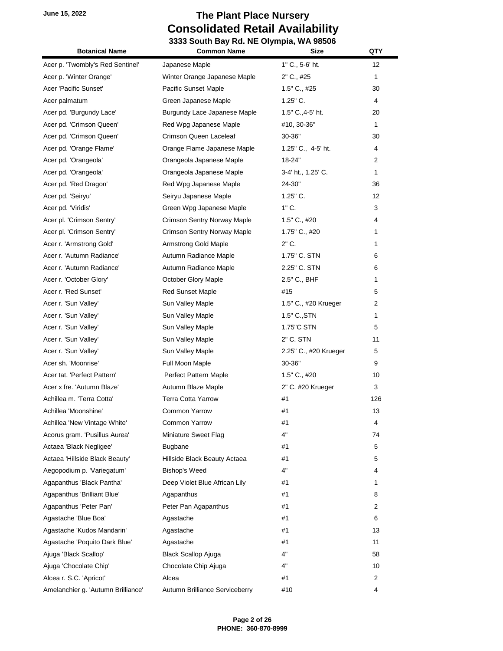| <b>Botanical Name</b>              | <b>Common Name</b>             | <b>Size</b>           | QTY            |
|------------------------------------|--------------------------------|-----------------------|----------------|
| Acer p. 'Twombly's Red Sentinel'   | Japanese Maple                 | 1" C., 5-6' ht.       | 12             |
| Acer p. 'Winter Orange'            | Winter Orange Japanese Maple   | 2" C., #25            | 1              |
| Acer 'Pacific Sunset'              | Pacific Sunset Maple           | 1.5" C., #25          | 30             |
| Acer palmatum                      | Green Japanese Maple           | $1.25"$ C.            | 4              |
| Acer pd. 'Burgundy Lace'           | Burgundy Lace Japanese Maple   | 1.5" C., 4-5' ht.     | 20             |
| Acer pd. 'Crimson Queen'           | Red Wpg Japanese Maple         | #10, 30-36"           | 1              |
| Acer pd. 'Crimson Queen'           | Crimson Queen Laceleaf         | $30 - 36"$            | 30             |
| Acer pd. 'Orange Flame'            | Orange Flame Japanese Maple    | 1.25" C., 4-5' ht.    | 4              |
| Acer pd. 'Orangeola'               | Orangeola Japanese Maple       | 18-24"                | $\overline{2}$ |
| Acer pd. 'Orangeola'               | Orangeola Japanese Maple       | 3-4' ht., 1.25' C.    | 1              |
| Acer pd. 'Red Dragon'              | Red Wpg Japanese Maple         | 24-30"                | 36             |
| Acer pd. 'Seiryu'                  | Seiryu Japanese Maple          | $1.25"$ C.            | 12             |
| Acer pd. 'Viridis'                 | Green Wpg Japanese Maple       | $1"$ C.               | 3              |
| Acer pl. 'Crimson Sentry'          | Crimson Sentry Norway Maple    | $1.5"$ C., #20        | 4              |
| Acer pl. 'Crimson Sentry'          | Crimson Sentry Norway Maple    | 1.75" C., #20         | 1              |
| Acer r. 'Armstrong Gold'           | Armstrong Gold Maple           | 2" C.                 | 1              |
| Acer r. 'Autumn Radiance'          | Autumn Radiance Maple          | 1.75" C. STN          | 6              |
| Acer r. 'Autumn Radiance'          | Autumn Radiance Maple          | 2.25" C. STN          | 6              |
| Acer r. 'October Glory'            | October Glory Maple            | 2.5" C., BHF          | 1              |
| Acer r. 'Red Sunset'               | <b>Red Sunset Maple</b>        | #15                   | 5              |
| Acer r. 'Sun Valley'               | Sun Valley Maple               | 1.5" C., #20 Krueger  | 2              |
| Acer r. 'Sun Valley'               | Sun Valley Maple               | $1.5"$ C., STN        | 1              |
| Acer r. 'Sun Valley'               | Sun Valley Maple               | 1.75"C STN            | 5              |
| Acer r. 'Sun Valley'               | Sun Valley Maple               | 2" C. STN             | 11             |
| Acer r. 'Sun Valley'               | Sun Valley Maple               | 2.25" C., #20 Krueger | 5              |
| Acer sh. 'Moonrise'                | Full Moon Maple                | 30-36"                | 9              |
| Acer tat. 'Perfect Pattern'        | Perfect Pattern Maple          | $1.5"$ C., #20        | 10             |
| Acer x fre. 'Autumn Blaze'         | Autumn Blaze Maple             | 2" C. #20 Krueger     | 3              |
| Achillea m. 'Terra Cotta'          | <b>Terra Cotta Yarrow</b>      | #1                    | 126            |
| Achillea 'Moonshine'               | <b>Common Yarrow</b>           | #1                    | 13             |
| Achillea 'New Vintage White'       | Common Yarrow                  | #1                    | 4              |
| Acorus gram. 'Pusillus Aurea'      | Miniature Sweet Flag           | 4"                    | 74             |
| Actaea 'Black Negligee'            | <b>Bugbane</b>                 | #1                    | 5              |
| Actaea 'Hillside Black Beauty'     | Hillside Black Beauty Actaea   | #1                    | 5              |
| Aegopodium p. 'Variegatum'         | <b>Bishop's Weed</b>           | 4"                    | 4              |
| Agapanthus 'Black Pantha'          | Deep Violet Blue African Lily  | #1                    | 1              |
| Agapanthus 'Brilliant Blue'        | Agapanthus                     | #1                    | 8              |
| Agapanthus 'Peter Pan'             | Peter Pan Agapanthus           | #1                    | 2              |
| Agastache 'Blue Boa'               | Agastache                      | #1                    | 6              |
| Agastache 'Kudos Mandarin'         | Agastache                      | #1                    | 13             |
| Agastache 'Poquito Dark Blue'      | Agastache                      | #1                    | 11             |
| Ajuga 'Black Scallop'              | <b>Black Scallop Ajuga</b>     | 4"                    | 58             |
| Ajuga 'Chocolate Chip'             | Chocolate Chip Ajuga           | 4"                    | 10             |
| Alcea r. S.C. 'Apricot'            | Alcea                          | #1                    | 2              |
| Amelanchier g. 'Autumn Brilliance' | Autumn Brilliance Serviceberry | #10                   | 4              |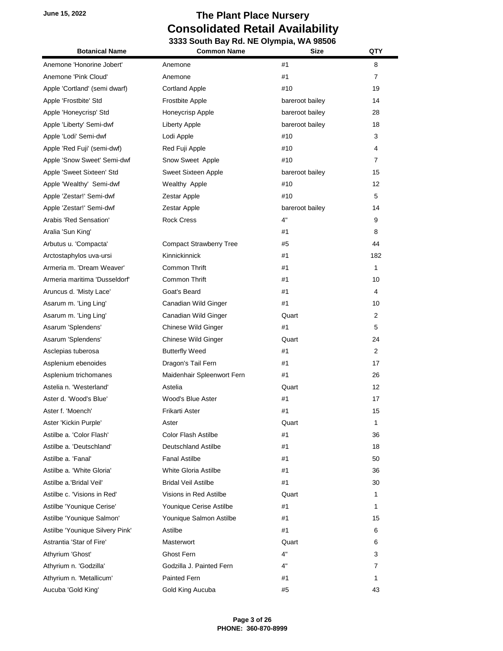| <b>Botanical Name</b>           | <b>Common Name</b>             | <b>Size</b>     | QTY               |
|---------------------------------|--------------------------------|-----------------|-------------------|
| Anemone 'Honorine Jobert'       | Anemone                        | #1              | 8                 |
| Anemone 'Pink Cloud'            | Anemone                        | #1              | $\overline{7}$    |
| Apple 'Cortland' (semi dwarf)   | <b>Cortland Apple</b>          | #10             | 19                |
| Apple 'Frostbite' Std           | <b>Frostbite Apple</b>         | bareroot bailey | 14                |
| Apple 'Honeycrisp' Std          | Honeycrisp Apple               | bareroot bailey | 28                |
| Apple 'Liberty' Semi-dwf        | Liberty Apple                  | bareroot bailey | 18                |
| Apple 'Lodi' Semi-dwf           | Lodi Apple                     | #10             | 3                 |
| Apple 'Red Fuji' (semi-dwf)     | Red Fuji Apple                 | #10             | 4                 |
| Apple 'Snow Sweet' Semi-dwf     | Snow Sweet Apple               | #10             | $\overline{7}$    |
| Apple 'Sweet Sixteen' Std       | Sweet Sixteen Apple            | bareroot bailey | 15                |
| Apple 'Wealthy' Semi-dwf        | Wealthy Apple                  | #10             | 12                |
| Apple 'Zestar!' Semi-dwf        | Zestar Apple                   | #10             | 5                 |
| Apple 'Zestar!' Semi-dwf        | Zestar Apple                   | bareroot bailey | 14                |
| Arabis 'Red Sensation'          | <b>Rock Cress</b>              | 4"              | 9                 |
| Aralia 'Sun King'               |                                | #1              | 8                 |
| Arbutus u. 'Compacta'           | <b>Compact Strawberry Tree</b> | #5              | 44                |
| Arctostaphylos uva-ursi         | Kinnickinnick                  | #1              | 182               |
| Armeria m. 'Dream Weaver'       | Common Thrift                  | #1              | 1                 |
| Armeria maritima 'Dusseldorf'   | Common Thrift                  | #1              | 10                |
| Aruncus d. 'Misty Lace'         | Goat's Beard                   | #1              | 4                 |
| Asarum m. 'Ling Ling'           | Canadian Wild Ginger           | #1              | 10                |
| Asarum m. 'Ling Ling'           | Canadian Wild Ginger           | Quart           | $\overline{2}$    |
| Asarum 'Splendens'              | <b>Chinese Wild Ginger</b>     | #1              | 5                 |
| Asarum 'Splendens'              | Chinese Wild Ginger            | Quart           | 24                |
| Asclepias tuberosa              | <b>Butterfly Weed</b>          | #1              | $\overline{2}$    |
| Asplenium ebenoides             | Dragon's Tail Fern             | #1              | 17                |
| Asplenium trichomanes           | Maidenhair Spleenwort Fern     | #1              | 26                |
| Astelia n. 'Westerland'         | Astelia                        | Quart           | $12 \overline{ }$ |
| Aster d. 'Wood's Blue'          | Wood's Blue Aster              | #1              | 17                |
| Aster f. 'Moench'               | Frikarti Aster                 | #1              | 15                |
| Aster 'Kickin Purple'           | Aster                          | Quart           | 1                 |
| Astilbe a. 'Color Flash'        | Color Flash Astilbe            | #1              | 36                |
| Astilbe a. 'Deutschland'        | Deutschland Astilbe            | #1              | 18                |
| Astilbe a. 'Fanal'              | <b>Fanal Astilbe</b>           | #1              | 50                |
| Astilbe a. 'White Gloria'       | White Gloria Astilbe           | #1              | 36                |
| Astilbe a.'Bridal Veil'         | <b>Bridal Veil Astilbe</b>     | #1              | 30                |
| Astilbe c. 'Visions in Red'     | Visions in Red Astilbe         | Quart           | 1                 |
| Astilbe 'Younique Cerise'       | Younique Cerise Astilbe        | #1              | 1                 |
| Astilbe 'Younique Salmon'       | Younique Salmon Astilbe        | #1              | 15                |
| Astilbe 'Younique Silvery Pink' | Astilbe                        | #1              | 6                 |
| Astrantia 'Star of Fire'        | Masterwort                     | Quart           | 6                 |
| Athyrium 'Ghost'                | Ghost Fern                     | 4"              | 3                 |
| Athyrium n. 'Godzilla'          | Godzilla J. Painted Fern       | 4"              | 7                 |
| Athyrium n. 'Metallicum'        | Painted Fern                   | #1              | 1                 |
| Aucuba 'Gold King'              | Gold King Aucuba               | #5              | 43                |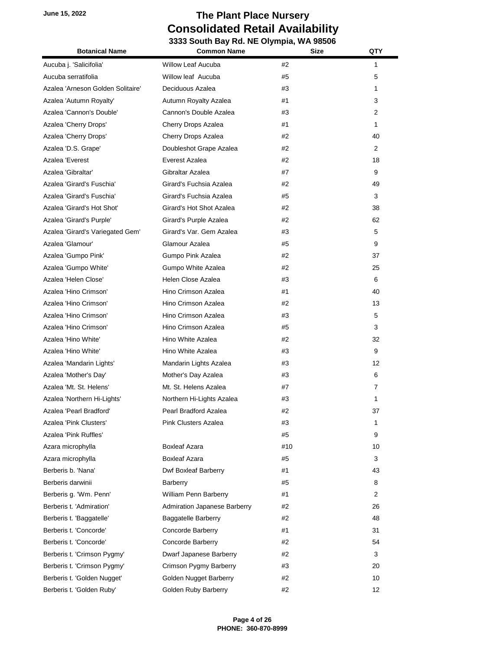| <b>Botanical Name</b>             | <b>Common Name</b>           | <b>Size</b> | QTY            |
|-----------------------------------|------------------------------|-------------|----------------|
| Aucuba j. 'Salicifolia'           | Willow Leaf Aucuba           | #2          | 1              |
| Aucuba serratifolia               | Willow leaf Aucuba           | #5          | 5              |
| Azalea 'Arneson Golden Solitaire' | Deciduous Azalea             | #3          | 1              |
| Azalea 'Autumn Royalty'           | Autumn Royalty Azalea        | #1          | 3              |
| Azalea 'Cannon's Double'          | Cannon's Double Azalea       | #3          | 2              |
| Azalea 'Cherry Drops'             | Cherry Drops Azalea          | #1          | 1              |
| Azalea 'Cherry Drops'             | Cherry Drops Azalea          | #2          | 40             |
| Azalea 'D.S. Grape'               | Doubleshot Grape Azalea      | #2          | 2              |
| Azalea 'Everest                   | Everest Azalea               | #2          | 18             |
| Azalea 'Gibraltar'                | Gibraltar Azalea             | #7          | 9              |
| Azalea 'Girard's Fuschia'         | Girard's Fuchsia Azalea      | #2          | 49             |
| Azalea 'Girard's Fuschia'         | Girard's Fuchsia Azalea      | #5          | 3              |
| Azalea 'Girard's Hot Shot'        | Girard's Hot Shot Azalea     | #2          | 38             |
| Azalea 'Girard's Purple'          | Girard's Purple Azalea       | #2          | 62             |
| Azalea 'Girard's Variegated Gem'  | Girard's Var. Gem Azalea     | #3          | 5              |
| Azalea 'Glamour'                  | Glamour Azalea               | #5          | 9              |
| Azalea 'Gumpo Pink'               | Gumpo Pink Azalea            | #2          | 37             |
| Azalea 'Gumpo White'              | Gumpo White Azalea           | #2          | 25             |
| Azalea 'Helen Close'              | Helen Close Azalea           | #3          | 6              |
| Azalea 'Hino Crimson'             | Hino Crimson Azalea          | #1          | 40             |
| Azalea 'Hino Crimson'             | Hino Crimson Azalea          | #2          | 13             |
| Azalea 'Hino Crimson'             | Hino Crimson Azalea          | #3          | 5              |
| Azalea 'Hino Crimson'             | Hino Crimson Azalea          | #5          | 3              |
| Azalea 'Hino White'               | Hino White Azalea            | #2          | 32             |
| Azalea 'Hino White'               | Hino White Azalea            | #3          | 9              |
| Azalea 'Mandarin Lights'          | Mandarin Lights Azalea       | #3          | 12             |
| Azalea 'Mother's Day'             | Mother's Day Azalea          | #3          | 6              |
| Azalea 'Mt. St. Helens'           | Mt. St. Helens Azalea        | #7          | 7              |
| Azalea 'Northern Hi-Lights'       | Northern Hi-Lights Azalea    | #3          | 1              |
| Azalea 'Pearl Bradford'           | Pearl Bradford Azalea        | #2          | 37             |
| Azalea 'Pink Clusters'            | <b>Pink Clusters Azalea</b>  | #3          | 1              |
| Azalea 'Pink Ruffles'             |                              | #5          | 9              |
| Azara microphylla                 | <b>Boxleaf Azara</b>         | #10         | 10             |
| Azara microphylla                 | <b>Boxleaf Azara</b>         | #5          | 3              |
| Berberis b. 'Nana'                | Dwf Boxleaf Barberry         | #1          | 43             |
| Berberis darwinii                 | Barberry                     | #5          | 8              |
| Berberis g. 'Wm. Penn'            | William Penn Barberry        | #1          | $\overline{2}$ |
| Berberis t. 'Admiration'          | Admiration Japanese Barberry | #2          | 26             |
| Berberis t. 'Baggatelle'          | <b>Baggatelle Barberry</b>   | #2          | 48             |
| Berberis t. 'Concorde'            | Concorde Barberry            | #1          | 31             |
| Berberis t. 'Concorde'            | Concorde Barberry            | #2          | 54             |
| Berberis t. 'Crimson Pygmy'       | Dwarf Japanese Barberry      | #2          | 3              |
| Berberis t. 'Crimson Pygmy'       | Crimson Pygmy Barberry       | #3          | 20             |
| Berberis t. 'Golden Nugget'       | Golden Nugget Barberry       | #2          | 10             |
| Berberis t. 'Golden Ruby'         | Golden Ruby Barberry         | #2          | 12             |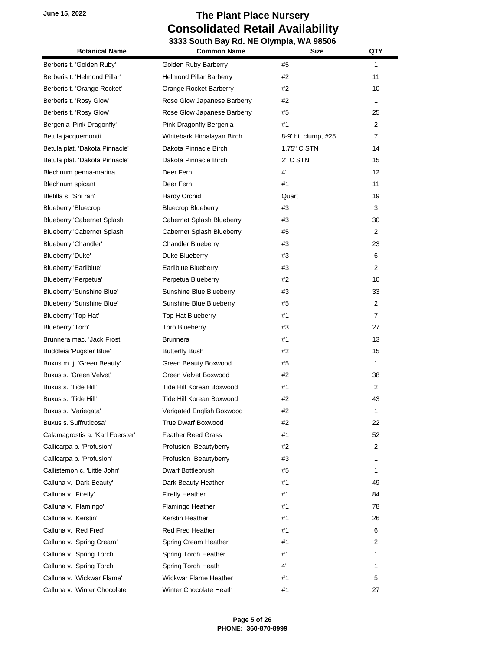| <b>Botanical Name</b>            | <b>Common Name</b>             | <b>Size</b>         | QTY               |
|----------------------------------|--------------------------------|---------------------|-------------------|
| Berberis t. 'Golden Ruby'        | Golden Ruby Barberry           | #5                  | 1                 |
| Berberis t. 'Helmond Pillar'     | <b>Helmond Pillar Barberry</b> | #2                  | 11                |
| Berberis t. 'Orange Rocket'      | Orange Rocket Barberry         | #2                  | 10                |
| Berberis t. 'Rosy Glow'          | Rose Glow Japanese Barberry    | #2                  | 1                 |
| Berberis t. 'Rosy Glow'          | Rose Glow Japanese Barberry    | #5                  | 25                |
| Bergenia 'Pink Dragonfly'        | Pink Dragonfly Bergenia        | #1                  | $\overline{2}$    |
| Betula jacquemontii              | Whitebark Himalayan Birch      | 8-9' ht. clump, #25 | $\overline{7}$    |
| Betula plat. 'Dakota Pinnacle'   | Dakota Pinnacle Birch          | 1.75" C STN         | 14                |
| Betula plat. 'Dakota Pinnacle'   | Dakota Pinnacle Birch          | 2" C STN            | 15                |
| Blechnum penna-marina            | Deer Fern                      | 4"                  | $12 \overline{ }$ |
| Blechnum spicant                 | Deer Fern                      | #1                  | 11                |
| Bletilla s. 'Shi ran'            | Hardy Orchid                   | Quart               | 19                |
| Blueberry 'Bluecrop'             | <b>Bluecrop Blueberry</b>      | #3                  | 3                 |
| Blueberry 'Cabernet Splash'      | Cabernet Splash Blueberry      | #3                  | 30                |
| Blueberry 'Cabernet Splash'      | Cabernet Splash Blueberry      | #5                  | $\overline{2}$    |
| Blueberry 'Chandler'             | <b>Chandler Blueberry</b>      | #3                  | 23                |
| Blueberry 'Duke'                 | Duke Blueberry                 | #3                  | 6                 |
| Blueberry 'Earliblue'            | Earliblue Blueberry            | #3                  | $\overline{2}$    |
| Blueberry 'Perpetua'             | Perpetua Blueberry             | #2                  | 10                |
| Blueberry 'Sunshine Blue'        | Sunshine Blue Blueberry        | #3                  | 33                |
| Blueberry 'Sunshine Blue'        | Sunshine Blue Blueberry        | #5                  | 2                 |
| Blueberry 'Top Hat'              | Top Hat Blueberry              | #1                  | $\overline{7}$    |
| Blueberry 'Toro'                 | <b>Toro Blueberry</b>          | #3                  | 27                |
| Brunnera mac. 'Jack Frost'       | <b>Brunnera</b>                | #1                  | 13                |
| Buddleia 'Pugster Blue'          | <b>Butterfly Bush</b>          | #2                  | 15                |
| Buxus m. j. 'Green Beauty'       | Green Beauty Boxwood           | #5                  | 1                 |
| Buxus s. 'Green Velvet'          | Green Velvet Boxwood           | #2                  | 38                |
| Buxus s. 'Tide Hill'             | Tide Hill Korean Boxwood       | #1                  | $\overline{2}$    |
| Buxus s. 'Tide Hill'             | Tide Hill Korean Boxwood       | #2                  | 43                |
| Buxus s. 'Variegata'             | Varigated English Boxwood      | #2                  | 1                 |
| Buxus s.'Suffruticosa'           | <b>True Dwarf Boxwood</b>      | #2                  | 22                |
| Calamagrostis a. 'Karl Foerster' | <b>Feather Reed Grass</b>      | #1                  | 52                |
| Callicarpa b. 'Profusion'        | Profusion Beautyberry          | #2                  | 2                 |
| Callicarpa b. 'Profusion'        | Profusion Beautyberry          | #3                  | 1                 |
| Callistemon c. 'Little John'     | Dwarf Bottlebrush              | #5                  | 1                 |
| Calluna v. 'Dark Beauty'         | Dark Beauty Heather            | #1                  | 49                |
| Calluna v. 'Firefly'             | <b>Firefly Heather</b>         | #1                  | 84                |
| Calluna v. 'Flamingo'            | Flamingo Heather               | #1                  | 78                |
| Calluna v. 'Kerstin'             | Kerstin Heather                | #1                  | 26                |
| Calluna v. 'Red Fred'            | <b>Red Fred Heather</b>        | #1                  | 6                 |
| Calluna v. 'Spring Cream'        | Spring Cream Heather           | #1                  | 2                 |
| Calluna v. 'Spring Torch'        | Spring Torch Heather           | #1                  | 1                 |
| Calluna v. 'Spring Torch'        | Spring Torch Heath             | 4"                  | 1                 |
| Calluna v. 'Wickwar Flame'       | Wickwar Flame Heather          | #1                  | 5                 |
| Calluna v. 'Winter Chocolate'    | Winter Chocolate Heath         | #1                  | 27                |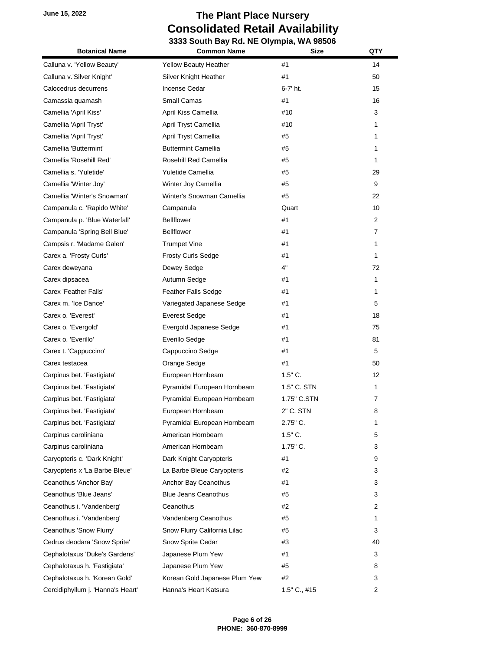| <b>Botanical Name</b>             | <b>Common Name</b>            | <b>Size</b>  | QTY |
|-----------------------------------|-------------------------------|--------------|-----|
| Calluna v. 'Yellow Beauty'        | <b>Yellow Beauty Heather</b>  | #1           | 14  |
| Calluna v.'Silver Knight'         | Silver Knight Heather         | #1           | 50  |
| Calocedrus decurrens              | Incense Cedar                 | 6-7' ht.     | 15  |
| Camassia quamash                  | Small Camas                   | #1           | 16  |
| Camellia 'April Kiss'             | April Kiss Camellia           | #10          | 3   |
| Camellia 'April Tryst'            | April Tryst Camellia          | #10          | 1   |
| Camellia 'April Tryst'            | April Tryst Camellia          | #5           | 1   |
| Camellia 'Buttermint'             | <b>Buttermint Camellia</b>    | #5           | 1   |
| Camellia 'Rosehill Red'           | Rosehill Red Camellia         | #5           | 1   |
| Camellia s. 'Yuletide'            | Yuletide Camellia             | #5           | 29  |
| Camellia 'Winter Joy'             | Winter Joy Camellia           | #5           | 9   |
| Camellia 'Winter's Snowman'       | Winter's Snowman Camellia     | #5           | 22  |
| Campanula c. 'Rapido White'       | Campanula                     | Quart        | 10  |
| Campanula p. 'Blue Waterfall'     | <b>Bellflower</b>             | #1           | 2   |
| Campanula 'Spring Bell Blue'      | <b>Bellflower</b>             | #1           | 7   |
| Campsis r. 'Madame Galen'         | <b>Trumpet Vine</b>           | #1           | 1   |
| Carex a. 'Frosty Curls'           | <b>Frosty Curls Sedge</b>     | #1           | 1   |
| Carex deweyana                    | Dewey Sedge                   | 4"           | 72  |
| Carex dipsacea                    | Autumn Sedge                  | #1           | 1   |
| Carex 'Feather Falls'             | Feather Falls Sedge           | #1           | 1   |
| Carex m. 'Ice Dance'              | Variegated Japanese Sedge     | #1           | 5   |
| Carex o. 'Everest'                | <b>Everest Sedge</b>          | #1           | 18  |
| Carex o. 'Evergold'               | Evergold Japanese Sedge       | #1           | 75  |
| Carex o. 'Everillo'               | Everillo Sedge                | #1           | 81  |
| Carex t. 'Cappuccino'             | Cappuccino Sedge              | #1           | 5   |
| Carex testacea                    | Orange Sedge                  | #1           | 50  |
| Carpinus bet. 'Fastigiata'        | European Hornbeam             | $1.5"$ C.    | 12  |
| Carpinus bet. 'Fastigiata'        | Pyramidal European Hornbeam   | 1.5" C. STN  | 1   |
| Carpinus bet. 'Fastigiata'        | Pyramidal European Hornbeam   | 1.75" C.STN  | 7   |
| Carpinus bet. 'Fastigiata'        | European Hornbeam             | 2" C. STN    | 8   |
| Carpinus bet. 'Fastigiata'        | Pyramidal European Hornbeam   | 2.75" C.     | 1   |
| Carpinus caroliniana              | American Hornbeam             | $1.5"$ C.    | 5   |
| Carpinus caroliniana              | American Hornbeam             | $1.75$ " C.  | 3   |
| Caryopteris c. 'Dark Knight'      | Dark Knight Caryopteris       | #1           | 9   |
| Caryopteris x 'La Barbe Bleue'    | La Barbe Bleue Caryopteris    | #2           | 3   |
| Ceanothus 'Anchor Bay'            | Anchor Bay Ceanothus          | #1           | 3   |
| Ceanothus 'Blue Jeans'            | <b>Blue Jeans Ceanothus</b>   | #5           | 3   |
| Ceanothus i. 'Vandenberg'         | Ceanothus                     | #2           | 2   |
| Ceanothus i. 'Vandenberg'         | Vandenberg Ceanothus          | #5           | 1   |
| Ceanothus 'Snow Flurry'           | Snow Flurry California Lilac  | #5           | 3   |
| Cedrus deodara 'Snow Sprite'      | Snow Sprite Cedar             | #3           | 40  |
| Cephalotaxus 'Duke's Gardens'     | Japanese Plum Yew             | #1           | 3   |
| Cephalotaxus h. 'Fastigiata'      | Japanese Plum Yew             | #5           | 8   |
| Cephalotaxus h. 'Korean Gold'     | Korean Gold Japanese Plum Yew | #2           | 3   |
| Cercidiphyllum j. 'Hanna's Heart' | Hanna's Heart Katsura         | 1.5" C., #15 | 2   |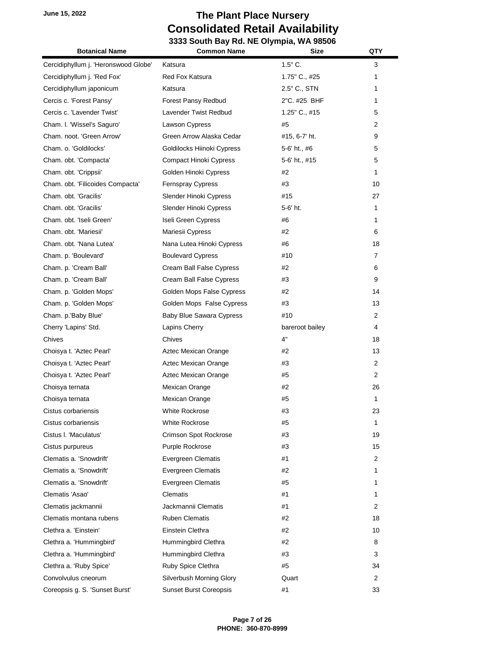| <b>Botanical Name</b>                | uur Day nu. n∟ Orympia, n <i>r</i><br><b>Size</b><br><b>Common Name</b> |                 | QTY            |
|--------------------------------------|-------------------------------------------------------------------------|-----------------|----------------|
| Cercidiphyllum j. 'Heronswood Globe' | Katsura                                                                 | $1.5"$ C.       | 3              |
| Cercidiphyllum j. 'Red Fox'          | Red Fox Katsura                                                         | 1.75" C., #25   | 1              |
| Cercidiphyllum japonicum             | Katsura                                                                 | 2.5" C., STN    | 1              |
| Cercis c. 'Forest Pansy'             | Forest Pansy Redbud                                                     | 2"C. #25 BHF    | 1              |
| Cercis c. 'Lavender Twist'           | Lavender Twist Redbud                                                   | 1.25" C., #15   | 5              |
| Cham. I. 'Wissel's Saguro'           | Lawson Cypress                                                          | #5              | 2              |
| Cham. noot. 'Green Arrow'            | Green Arrow Alaska Cedar                                                | #15, 6-7' ht.   | 9              |
| Cham. o. 'Goldilocks'                | Goldilocks Hiinoki Cypress                                              | 5-6' ht., #6    | 5              |
| Cham. obt. 'Compacta'                | <b>Compact Hinoki Cypress</b>                                           | 5-6' ht., #15   | 5              |
| Cham. obt. 'Crippsii'                | Golden Hinoki Cypress                                                   | #2              | 1              |
| Cham. obt. 'Filicoides Compacta'     | <b>Fernspray Cypress</b>                                                | #3              | 10             |
| Cham. obt. 'Gracilis'                | Slender Hinoki Cypress                                                  | #15             | 27             |
| Cham. obt. 'Gracilis'                | Slender Hinoki Cypress                                                  | 5-6' ht.        | 1              |
| Cham. obt. 'Iseli Green'             | Iseli Green Cypress                                                     | #6              | 1              |
| Cham. obt. 'Mariesii'                | Mariesii Cypress                                                        | #2              | 6              |
| Cham. obt. 'Nana Lutea'              | Nana Lutea Hinoki Cypress                                               | #6              | 18             |
| Cham. p. 'Boulevard'                 | <b>Boulevard Cypress</b>                                                | #10             | 7              |
| Cham. p. 'Cream Ball'                | Cream Ball False Cypress                                                | #2              | 6              |
| Cham. p. 'Cream Ball'                | Cream Ball False Cypress                                                | #3              | 9              |
| Cham. p. 'Golden Mops'               | Golden Mops False Cypress                                               | #2              | 14             |
| Cham. p. 'Golden Mops'               | Golden Mops False Cypress                                               | #3              | 13             |
| Cham. p.'Baby Blue'                  | <b>Baby Blue Sawara Cypress</b>                                         | #10             | $\overline{2}$ |
| Cherry 'Lapins' Std.                 | Lapins Cherry                                                           | bareroot bailey | 4              |
| Chives                               | Chives                                                                  | 4"              | 18             |
| Choisya t. 'Aztec Pearl'             | Aztec Mexican Orange                                                    | #2              | 13             |
| Choisya t. 'Aztec Pearl'             | Aztec Mexican Orange                                                    | #3              | 2              |
| Choisya t. 'Aztec Pearl'             | Aztec Mexican Orange                                                    | #5              | $\overline{2}$ |
| Choisya ternata                      | Mexican Orange                                                          | #2              | 26             |
| Choisya ternata                      | Mexican Orange                                                          | #5              | 1              |
| Cistus corbariensis                  | <b>White Rockrose</b>                                                   | #3              | 23             |
| Cistus corbariensis                  | <b>White Rockrose</b>                                                   | #5              | 1              |
| Cistus I. 'Maculatus'                | Crimson Spot Rockrose                                                   | #3              | 19             |
| Cistus purpureus                     | Purple Rockrose                                                         | #3              | 15             |
| Clematis a. 'Snowdrift'              | Evergreen Clematis                                                      | #1              | $\overline{2}$ |
| Clematis a. 'Snowdrift'              | Evergreen Clematis                                                      | #2              | 1              |
| Clematis a. 'Snowdrift'              | Evergreen Clematis                                                      | #5              | 1              |
| Clematis 'Asao'                      | Clematis                                                                | #1              | 1              |
| Clematis jackmannii                  | Jackmannii Clematis                                                     | #1              | $\overline{2}$ |
| Clematis montana rubens              | <b>Ruben Clematis</b>                                                   | #2              | 18             |
| Clethra a. 'Einstein'                | Einstein Clethra                                                        | #2              | 10             |
| Clethra a. 'Hummingbird'             | Hummingbird Clethra                                                     | #2              | 8              |
| Clethra a. 'Hummingbird'             | Hummingbird Clethra                                                     | #3              | 3              |
| Clethra a. 'Ruby Spice'              | Ruby Spice Clethra                                                      | #5              | 34             |
| Convolvulus cneorum                  | Silverbush Morning Glory                                                | Quart           | 2              |
| Coreopsis g. S. 'Sunset Burst'       | <b>Sunset Burst Coreopsis</b>                                           | #1              | 33             |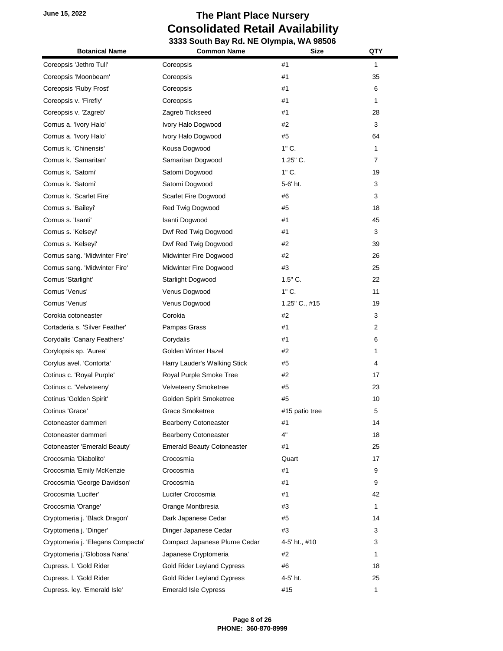| <b>Botanical Name</b>             | 33 300ml Day ING. INC Organized, NTA 30300<br><b>Common Name</b> | Size           | QTY            |
|-----------------------------------|------------------------------------------------------------------|----------------|----------------|
| Coreopsis 'Jethro Tull'           | Coreopsis                                                        | #1             | $\mathbf{1}$   |
| Coreopsis 'Moonbeam'              | Coreopsis                                                        | #1             | 35             |
| Coreopsis 'Ruby Frost'            | Coreopsis                                                        | #1             | 6              |
| Coreopsis v. 'Firefly'            | Coreopsis                                                        | #1             | 1              |
| Coreopsis v. 'Zagreb'             | Zagreb Tickseed                                                  | #1             | 28             |
| Cornus a. 'Ivory Halo'            | Ivory Halo Dogwood                                               | #2             | 3              |
| Cornus a. 'Ivory Halo'            | Ivory Halo Dogwood                                               | #5             | 64             |
| Cornus k. 'Chinensis'             | Kousa Dogwood                                                    | $1"$ C.        | 1              |
| Cornus k. 'Samaritan'             | Samaritan Dogwood                                                | 1.25" C.       | $\overline{7}$ |
| Cornus k. 'Satomi'                | Satomi Dogwood                                                   | $1"$ C.        | 19             |
| Cornus k. 'Satomi'                | Satomi Dogwood                                                   | 5-6' ht.       | 3              |
| Cornus k. 'Scarlet Fire'          | Scarlet Fire Dogwood                                             | #6             | 3              |
| Cornus s. 'Baileyi'               | Red Twig Dogwood                                                 | #5             | 18             |
| Cornus s. 'Isanti'                | Isanti Dogwood                                                   | #1             | 45             |
| Cornus s. 'Kelseyi'               | Dwf Red Twig Dogwood                                             | #1             | 3              |
| Cornus s. 'Kelseyi'               | Dwf Red Twig Dogwood                                             | #2             | 39             |
| Cornus sang. 'Midwinter Fire'     | Midwinter Fire Dogwood                                           | #2             | 26             |
| Cornus sang. 'Midwinter Fire'     | Midwinter Fire Dogwood                                           | #3             | 25             |
| Cornus 'Starlight'                | Starlight Dogwood                                                | $1.5"$ C.      | 22             |
| Cornus 'Venus'                    | Venus Dogwood                                                    | $1"$ C.        | 11             |
| Cornus 'Venus'                    | Venus Dogwood                                                    | 1.25" C., #15  | 19             |
| Corokia cotoneaster               | Corokia                                                          | #2             | 3              |
| Cortaderia s. 'Silver Feather'    |                                                                  | #1             | $\overline{2}$ |
|                                   | Pampas Grass                                                     |                |                |
| Corydalis 'Canary Feathers'       | Corydalis                                                        | #1             | 6              |
| Corylopsis sp. 'Aurea'            | Golden Winter Hazel                                              | #2             | 1              |
| Corylus avel. 'Contorta'          | Harry Lauder's Walking Stick                                     | #5             | 4              |
| Cotinus c. 'Royal Purple'         | Royal Purple Smoke Tree                                          | #2             | 17             |
| Cotinus c. 'Velveteeny'           | Velveteeny Smoketree                                             | #5             | 23             |
| Cotinus 'Golden Spirit'           | Golden Spirit Smoketree                                          | #5             | 10             |
| Cotinus 'Grace'                   | Grace Smoketree                                                  | #15 patio tree | 5              |
| Cotoneaster dammeri               | <b>Bearberry Cotoneaster</b>                                     | #1             | 14             |
| Cotoneaster dammeri               | <b>Bearberry Cotoneaster</b>                                     | 4"             | 18             |
| Cotoneaster 'Emerald Beauty'      | <b>Emerald Beauty Cotoneaster</b>                                | #1             | 25             |
| Crocosmia 'Diabolito'             | Crocosmia                                                        | Quart          | 17             |
| Crocosmia 'Emily McKenzie         | Crocosmia                                                        | #1             | 9              |
| Crocosmia 'George Davidson'       | Crocosmia                                                        | #1             | 9              |
| Crocosmia 'Lucifer'               | Lucifer Crocosmia                                                | #1             | 42             |
| Crocosmia 'Orange'                | Orange Montbresia                                                | #3             | 1              |
| Cryptomeria j. 'Black Dragon'     | Dark Japanese Cedar                                              | #5             | 14             |
| Cryptomeria j. 'Dinger'           | Dinger Japanese Cedar                                            | #3             | 3              |
| Cryptomeria j. 'Elegans Compacta' | Compact Japanese Plume Cedar                                     | 4-5' ht., #10  | 3              |
| Cryptomeria j.'Globosa Nana'      | Japanese Cryptomeria                                             | #2             | 1              |
| Cupress. I. 'Gold Rider           | Gold Rider Leyland Cypress                                       | #6             | 18             |
| Cupress. I. 'Gold Rider           | Gold Rider Leyland Cypress                                       | 4-5' ht.       | 25             |
| Cupress. ley. 'Emerald Isle'      | <b>Emerald Isle Cypress</b>                                      | #15            | 1              |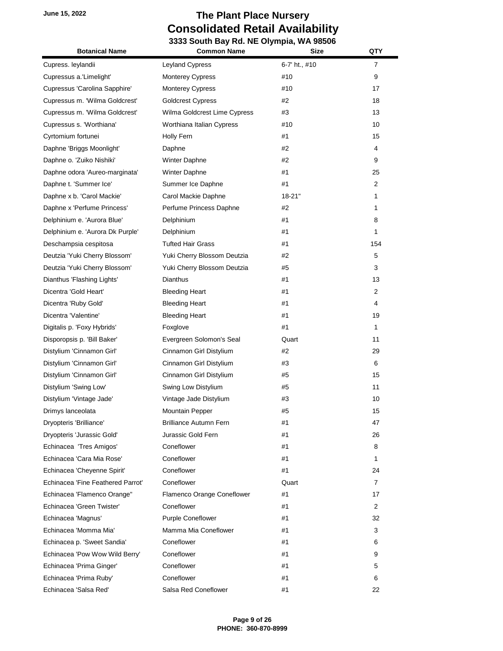| <b>Botanical Name</b>             | <b>Common Name</b>            | <b>Size</b>   | QTY            |
|-----------------------------------|-------------------------------|---------------|----------------|
| Cupress. leylandii                | Leyland Cypress               | 6-7' ht., #10 | $\overline{7}$ |
| Cupressus a.'Limelight'           | <b>Monterey Cypress</b>       | #10           | 9              |
| Cupressus 'Carolina Sapphire'     | <b>Monterey Cypress</b>       | #10           | 17             |
| Cupressus m. 'Wilma Goldcrest'    | <b>Goldcrest Cypress</b>      | #2            | 18             |
| Cupressus m. 'Wilma Goldcrest'    | Wilma Goldcrest Lime Cypress  | #3            | 13             |
| Cupressus s. 'Worthiana'          | Worthiana Italian Cypress     | #10           | 10             |
| Cyrtomium fortunei                | Holly Fern                    | #1            | 15             |
| Daphne 'Briggs Moonlight'         | Daphne                        | #2            | 4              |
| Daphne o. 'Zuiko Nishiki'         | <b>Winter Daphne</b>          | #2            | 9              |
| Daphne odora 'Aureo-marginata'    | Winter Daphne                 | #1            | 25             |
| Daphne t. 'Summer Ice'            | Summer Ice Daphne             | #1            | $\overline{2}$ |
| Daphne x b. 'Carol Mackie'        | Carol Mackie Daphne           | $18 - 21"$    | 1              |
| Daphne x 'Perfume Princess'       | Perfume Princess Daphne       | #2            | 1              |
| Delphinium e. 'Aurora Blue'       | Delphinium                    | #1            | 8              |
| Delphinium e. 'Aurora Dk Purple'  | Delphinium                    | #1            | 1              |
| Deschampsia cespitosa             | <b>Tufted Hair Grass</b>      | #1            | 154            |
| Deutzia 'Yuki Cherry Blossom'     | Yuki Cherry Blossom Deutzia   | #2            | 5              |
| Deutzia 'Yuki Cherry Blossom'     | Yuki Cherry Blossom Deutzia   | #5            | 3              |
| Dianthus 'Flashing Lights'        | <b>Dianthus</b>               | #1            | 13             |
| Dicentra 'Gold Heart'             | <b>Bleeding Heart</b>         | #1            | $\overline{2}$ |
| Dicentra 'Ruby Gold'              | <b>Bleeding Heart</b>         | #1            | 4              |
| Dicentra 'Valentine'              | <b>Bleeding Heart</b>         | #1            | 19             |
| Digitalis p. 'Foxy Hybrids'       | Foxglove                      | #1            | 1              |
| Disporopsis p. 'Bill Baker'       | Evergreen Solomon's Seal      | Quart         | 11             |
| Distylium 'Cinnamon Girl'         | Cinnamon Girl Distylium       | #2            | 29             |
| Distylium 'Cinnamon Girl'         | Cinnamon Girl Distylium       | #3            | 6              |
| Distylium 'Cinnamon Girl'         | Cinnamon Girl Distylium       | #5            | 15             |
| Distylium 'Swing Low'             | Swing Low Distylium           | #5            | 11             |
| Distylium 'Vintage Jade'          | Vintage Jade Distylium        | #3            | 10             |
| Drimys lanceolata                 | Mountain Pepper               | #5            | 15             |
| Dryopteris 'Brilliance'           | <b>Brilliance Autumn Fern</b> | #1            | 47             |
| Dryopteris 'Jurassic Gold'        | Jurassic Gold Fern            | #1            | 26             |
| Echinacea 'Tres Amigos'           | Coneflower                    | #1            | 8              |
| Echinacea 'Cara Mia Rose'         | Coneflower                    | #1            | 1              |
| Echinacea 'Cheyenne Spirit'       | Coneflower                    | #1            | 24             |
| Echinacea 'Fine Feathered Parrot' | Coneflower                    | Quart         | $\overline{7}$ |
| Echinacea 'Flamenco Orange"       | Flamenco Orange Coneflower    | #1            | 17             |
| Echinacea 'Green Twister'         | Coneflower                    | #1            | $\overline{2}$ |
| Echinacea 'Magnus'                | <b>Purple Coneflower</b>      | #1            | 32             |
| Echinacea 'Momma Mia'             | Mamma Mia Coneflower          | #1            | 3              |
| Echinacea p. 'Sweet Sandia'       | Coneflower                    | #1            | 6              |
| Echinacea 'Pow Wow Wild Berry'    | Coneflower                    | #1            | 9              |
| Echinacea 'Prima Ginger'          | Coneflower                    | #1            | 5              |
| Echinacea 'Prima Ruby'            | Coneflower                    | #1            | 6              |
| Echinacea 'Salsa Red'             | Salsa Red Coneflower          | #1            | 22             |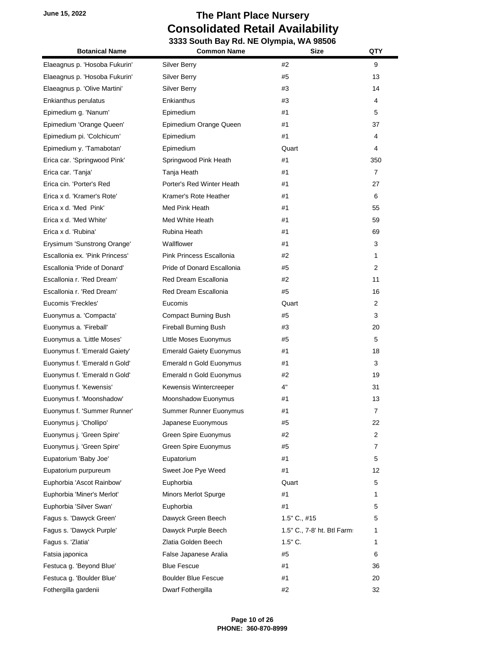| <b>Botanical Name</b>          | <b>Common Name</b>              | <b>Size</b>                 | QTY            |
|--------------------------------|---------------------------------|-----------------------------|----------------|
| Elaeagnus p. 'Hosoba Fukurin'  | Silver Berry                    | #2                          | 9              |
| Elaeagnus p. 'Hosoba Fukurin'  | <b>Silver Berry</b>             | #5                          | 13             |
| Elaeagnus p. 'Olive Martini'   | <b>Silver Berry</b>             | #3                          | 14             |
| Enkianthus perulatus           | Enkianthus                      | #3                          | 4              |
| Epimedium g. 'Nanum'           | Epimedium                       | #1                          | 5              |
| Epimedium 'Orange Queen'       | Epimedium Orange Queen          | #1                          | 37             |
| Epimedium pi. 'Colchicum'      | Epimedium                       | #1                          | 4              |
| Epimedium y. 'Tamabotan'       | Epimedium                       | Quart                       | 4              |
| Erica car. 'Springwood Pink'   | Springwood Pink Heath           | #1                          | 350            |
| Erica car. 'Tanja'             | Tanja Heath                     | #1                          | $\overline{7}$ |
| Erica cin. 'Porter's Red       | Porter's Red Winter Heath       | #1                          | 27             |
| Erica x d. 'Kramer's Rote'     | Kramer's Rote Heather           | #1                          | 6              |
| Erica x d. 'Med Pink'          | Med Pink Heath                  | #1                          | 55             |
| Erica x d. 'Med White'         | Med White Heath                 | #1                          | 59             |
| Erica x d. 'Rubina'            | Rubina Heath                    | #1                          | 69             |
| Erysimum 'Sunstrong Orange'    | Wallflower                      | #1                          | 3              |
| Escallonia ex. 'Pink Princess' | <b>Pink Princess Escallonia</b> | #2                          | 1              |
| Escallonia 'Pride of Donard'   | Pride of Donard Escallonia      | #5                          | 2              |
| Escallonia r. 'Red Dream'      | Red Dream Escallonia            | #2                          | 11             |
| Escallonia r. 'Red Dream'      | Red Dream Escallonia            | #5                          | 16             |
| Eucomis 'Freckles'             | Eucomis                         | Quart                       | $\overline{2}$ |
| Euonymus a. 'Compacta'         | Compact Burning Bush            | #5                          | 3              |
| Euonymus a. 'Fireball'         | <b>Fireball Burning Bush</b>    | #3                          | 20             |
| Euonymus a. 'Little Moses'     | Little Moses Euonymus           | #5                          | 5              |
| Euonymus f. 'Emerald Gaiety'   | <b>Emerald Gaiety Euonymus</b>  | #1                          | 18             |
| Euonymus f. 'Emerald n Gold'   | Emerald n Gold Euonymus         | #1                          | 3              |
| Euonymus f. 'Emerald n Gold'   | Emerald n Gold Euonymus         | #2                          | 19             |
| Euonymus f. 'Kewensis'         | Kewensis Wintercreeper          | 4"                          | 31             |
| Euonymus f. 'Moonshadow'       | Moonshadow Euonymus             | #1                          | 13             |
| Euonymus f. 'Summer Runner'    | Summer Runner Euonymus          | #1                          | 7              |
| Euonymus j. 'Chollipo'         | Japanese Euonymous              | #5                          | 22             |
| Euonymus j. 'Green Spire'      | Green Spire Euonymus            | #2                          | 2              |
| Euonymus j. 'Green Spire'      | Green Spire Euonymus            | #5                          | 7              |
| Eupatorium 'Baby Joe'          | Eupatorium                      | #1                          | 5              |
| Eupatorium purpureum           | Sweet Joe Pye Weed              | #1                          | 12             |
| Euphorbia 'Ascot Rainbow'      | Euphorbia                       | Quart                       | 5              |
| Euphorbia 'Miner's Merlot'     | Minors Merlot Spurge            | #1                          | 1              |
| Euphorbia 'Silver Swan'        | Euphorbia                       | #1                          | 5              |
| Fagus s. 'Dawyck Green'        | Dawyck Green Beech              | $1.5"$ C., #15              | 5              |
| Fagus s. 'Dawyck Purple'       | Dawyck Purple Beech             | 1.5" C., 7-8' ht. Btl Farm: | 1              |
| Fagus s. 'Zlatia'              | Zlatia Golden Beech             | $1.5"$ C.                   | 1              |
| Fatsia japonica                | False Japanese Aralia           | #5                          | 6              |
| Festuca g. 'Beyond Blue'       | <b>Blue Fescue</b>              | #1                          | 36             |
| Festuca g. 'Boulder Blue'      | <b>Boulder Blue Fescue</b>      | #1                          | 20             |
| Fothergilla gardenii           | Dwarf Fothergilla               | #2                          | 32             |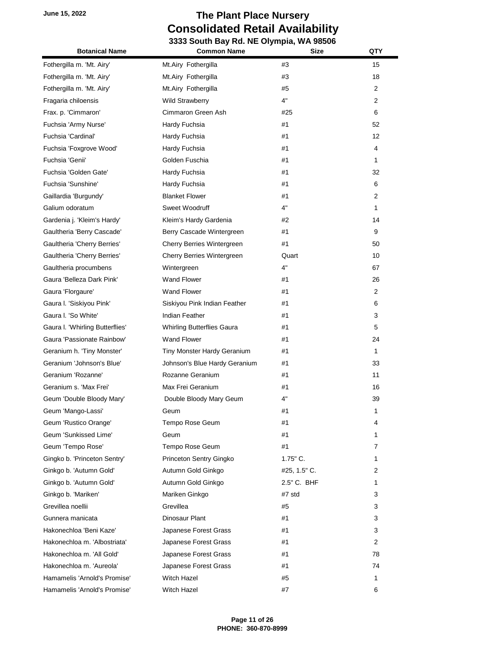# **June 15, 2022 The Plant Place Nursery Consolidated Retail Availability**

| <b>Botanical Name</b>           | 3333 South Bay Rd. NE Olympia, WA 98506<br><b>Common Name</b> | Size         | QTY |
|---------------------------------|---------------------------------------------------------------|--------------|-----|
|                                 |                                                               |              |     |
| Fothergilla m. 'Mt. Airy'       | Mt.Airy Fothergilla                                           | #3           | 15  |
| Fothergilla m. 'Mt. Airy'       | Mt.Airy Fothergilla                                           | #3           | 18  |
| Fothergilla m. 'Mt. Airy'       | Mt.Airy Fothergilla                                           | #5           | 2   |
| Fragaria chiloensis             | <b>Wild Strawberry</b>                                        | 4"           | 2   |
| Frax. p. 'Cimmaron'             | Cimmaron Green Ash                                            | #25          | 6   |
| Fuchsia 'Army Nurse'            | Hardy Fuchsia                                                 | #1           | 52  |
| Fuchsia 'Cardinal'              | Hardy Fuchsia                                                 | #1           | 12  |
| Fuchsia 'Foxgrove Wood'         | Hardy Fuchsia                                                 | #1           | 4   |
| Fuchsia 'Genii'                 | Golden Fuschia                                                | #1           | 1   |
| Fuchsia 'Golden Gate'           | Hardy Fuchsia                                                 | #1           | 32  |
| Fuchsia 'Sunshine'              | Hardy Fuchsia                                                 | #1           | 6   |
| Gaillardia 'Burgundy'           | <b>Blanket Flower</b>                                         | #1           | 2   |
| Galium odoratum                 | Sweet Woodruff                                                | 4"           | 1   |
| Gardenia j. 'Kleim's Hardy'     | Kleim's Hardy Gardenia                                        | #2           | 14  |
| Gaultheria 'Berry Cascade'      | Berry Cascade Wintergreen                                     | #1           | 9   |
| Gaultheria 'Cherry Berries'     | Cherry Berries Wintergreen                                    | #1           | 50  |
| Gaultheria 'Cherry Berries'     | Cherry Berries Wintergreen                                    | Quart        | 10  |
| Gaultheria procumbens           | Wintergreen                                                   | 4"           | 67  |
| Gaura 'Belleza Dark Pink'       | <b>Wand Flower</b>                                            | #1           | 26  |
| Gaura 'Florgaure'               | <b>Wand Flower</b>                                            | #1           | 2   |
| Gaura I. 'Siskiyou Pink'        | Siskiyou Pink Indian Feather                                  | #1           | 6   |
| Gaura I. 'So White'             | Indian Feather                                                | #1           | 3   |
| Gaura I. 'Whirling Butterflies' | <b>Whirling Butterflies Gaura</b>                             | #1           | 5   |
| Gaura 'Passionate Rainbow'      | <b>Wand Flower</b>                                            | #1           | 24  |
| Geranium h. 'Tiny Monster'      | Tiny Monster Hardy Geranium                                   | #1           | 1   |
| Geranium 'Johnson's Blue'       | Johnson's Blue Hardy Geranium                                 | #1           | 33  |
| Geranium 'Rozanne'              | Rozanne Geranium                                              | #1           | 11  |
| Geranium s. 'Max Frei'          | Max Frei Geranium                                             | #1           | 16  |
| Geum 'Double Bloody Mary'       | Double Bloody Mary Geum                                       | 4"           | 39  |
| Geum 'Mango-Lassi'              | Geum                                                          | #1           | 1   |
| Geum 'Rustico Orange'           | Tempo Rose Geum                                               | #1           | 4   |
| Geum 'Sunkissed Lime'           | Geum                                                          | #1           | 1   |
| Geum 'Tempo Rose'               | Tempo Rose Geum                                               | #1           | 7   |
| Gingko b. 'Princeton Sentry'    | Princeton Sentry Gingko                                       | $1.75"$ C.   | 1   |
| Ginkgo b. 'Autumn Gold'         | Autumn Gold Ginkgo                                            | #25, 1.5" C. | 2   |
| Ginkgo b. 'Autumn Gold'         | Autumn Gold Ginkgo                                            | 2.5" C. BHF  | 1   |
| Ginkgo b. 'Mariken'             | Mariken Ginkgo                                                | #7 std       | 3   |
| Grevillea noellii               | Grevillea                                                     | #5           | 3   |
| Gunnera manicata                | Dinosaur Plant                                                | #1           | 3   |
| Hakonechloa 'Beni Kaze'         | Japanese Forest Grass                                         | #1           | 3   |
| Hakonechloa m. 'Albostriata'    | Japanese Forest Grass                                         | #1           | 2   |
| Hakonechloa m. 'All Gold'       | Japanese Forest Grass                                         | #1           | 78  |
| Hakonechloa m. 'Aureola'        | Japanese Forest Grass                                         | #1           | 74  |
| Hamamelis 'Arnold's Promise'    | Witch Hazel                                                   | #5           | 1   |
| Hamamelis 'Arnold's Promise'    | Witch Hazel                                                   | #7           | 6   |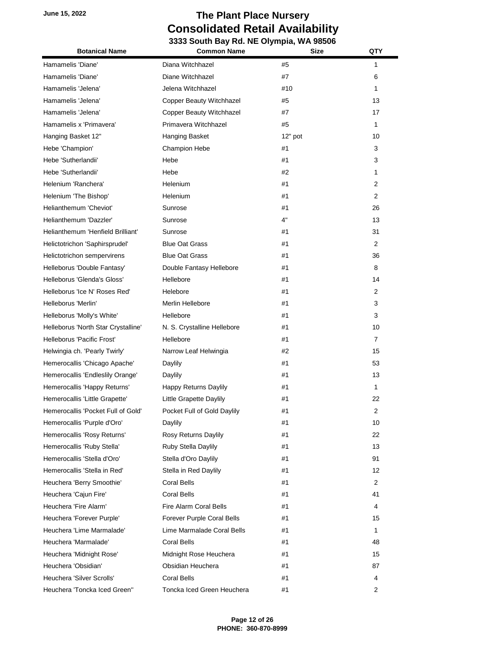| <b>Botanical Name</b>               | <b>Common Name</b>          | Size    | QTY            |
|-------------------------------------|-----------------------------|---------|----------------|
| Hamamelis 'Diane'                   | Diana Witchhazel            | #5      | 1              |
| Hamamelis 'Diane'                   | Diane Witchhazel            | #7      | 6              |
| Hamamelis 'Jelena'                  | Jelena Witchhazel           | #10     | 1              |
| Hamamelis 'Jelena'                  | Copper Beauty Witchhazel    | #5      | 13             |
| Hamamelis 'Jelena'                  | Copper Beauty Witchhazel    | #7      | 17             |
| Hamamelis x 'Primavera'             | Primavera Witchhazel        | #5      | 1              |
| Hanging Basket 12"                  | Hanging Basket              | 12" pot | 10             |
| Hebe 'Champion'                     | Champion Hebe               | #1      | 3              |
| Hebe 'Sutherlandii'                 | Hebe                        | #1      | 3              |
| Hebe 'Sutherlandii'                 | Hebe                        | #2      | 1              |
| Helenium 'Ranchera'                 | Helenium                    | #1      | 2              |
| Helenium 'The Bishop'               | Helenium                    | #1      | $\overline{2}$ |
| Helianthemum 'Cheviot'              | Sunrose                     | #1      | 26             |
| Helianthemum 'Dazzler'              | Sunrose                     | 4"      | 13             |
| Helianthemum 'Henfield Brilliant'   | Sunrose                     | #1      | 31             |
| Helictotrichon 'Saphirsprudel'      | <b>Blue Oat Grass</b>       | #1      | $\overline{2}$ |
| Helictotrichon sempervirens         | <b>Blue Oat Grass</b>       | #1      | 36             |
| Helleborus 'Double Fantasy'         | Double Fantasy Hellebore    | #1      | 8              |
| Helleborus 'Glenda's Gloss'         | Hellebore                   | #1      | 14             |
| Helleborus 'Ice N' Roses Red'       | Helebore                    | #1      | 2              |
| Helleborus 'Merlin'                 | Merlin Hellebore            | #1      | 3              |
| Helleborus 'Molly's White'          | Hellebore                   | #1      | 3              |
| Helleborus 'North Star Crystalline' | N. S. Crystalline Hellebore | #1      | 10             |
| Helleborus 'Pacific Frost'          | Hellebore                   | #1      | 7              |
| Helwingia ch. 'Pearly Twirly'       | Narrow Leaf Helwingia       | #2      | 15             |
| Hemerocallis 'Chicago Apache'       | Daylily                     | #1      | 53             |
| Hemerocallis 'Endleslily Orange'    | Daylily                     | #1      | 13             |
| Hemerocallis 'Happy Returns'        | Happy Returns Daylily       | #1      | 1              |
| Hemerocallis 'Little Grapette'      | Little Grapette Daylily     | #1      | 22             |
| Hemerocallis 'Pocket Full of Gold'  | Pocket Full of Gold Daylily | #1      | 2              |
| Hemerocallis 'Purple d'Oro'         | Daylily                     | #1      | 10             |
| Hemerocallis 'Rosy Returns'         | Rosy Returns Daylily        | #1      | 22             |
| Hemerocallis 'Ruby Stella'          | Ruby Stella Daylily         | #1      | 13             |
| Hemerocallis 'Stella d'Oro'         | Stella d'Oro Daylily        | #1      | 91             |
| Hemerocallis 'Stella in Red'        | Stella in Red Daylily       | #1      | 12             |
| Heuchera 'Berry Smoothie'           | Coral Bells                 | #1      | $\overline{2}$ |
| Heuchera 'Cajun Fire'               | <b>Coral Bells</b>          | #1      | 41             |
| Heuchera 'Fire Alarm'               | Fire Alarm Coral Bells      | #1      | 4              |
| Heuchera 'Forever Purple'           | Forever Purple Coral Bells  | #1      | 15             |
| Heuchera 'Lime Marmalade'           | Lime Marmalade Coral Bells  | #1      | 1              |
| Heuchera 'Marmalade'                | Coral Bells                 | #1      | 48             |
| Heuchera 'Midnight Rose'            | Midnight Rose Heuchera      | #1      | 15             |
| Heuchera 'Obsidian'                 | Obsidian Heuchera           | #1      | 87             |
| Heuchera 'Silver Scrolls'           | <b>Coral Bells</b>          | #1      | 4              |
| Heuchera 'Toncka Iced Green"        | Toncka Iced Green Heuchera  | #1      | 2              |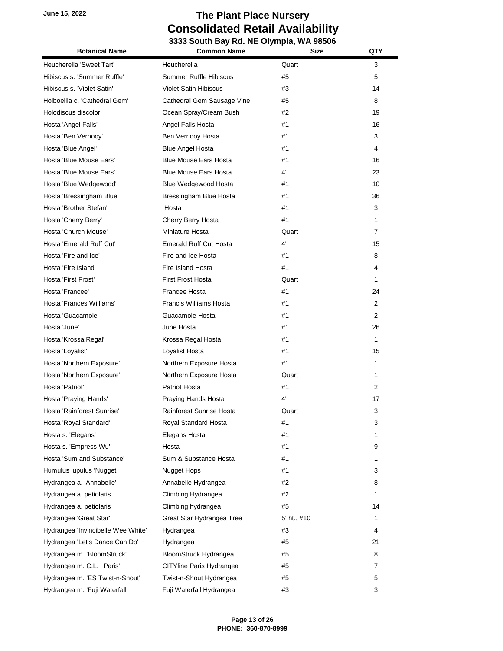| <b>Botanical Name</b>              | <b>Common Name</b>            | <b>Size</b> | QTY |
|------------------------------------|-------------------------------|-------------|-----|
| Heucherella 'Sweet Tart'           | Heucherella                   | Quart       | 3   |
| Hibiscus s. 'Summer Ruffle'        | <b>Summer Ruffle Hibiscus</b> | #5          | 5   |
| Hibiscus s. 'Violet Satin'         | <b>Violet Satin Hibiscus</b>  | #3          | 14  |
| Holboellia c. 'Cathedral Gem'      | Cathedral Gem Sausage Vine    | #5          | 8   |
| Holodiscus discolor                | Ocean Spray/Cream Bush        | #2          | 19  |
| Hosta 'Angel Falls'                | Angel Falls Hosta             | #1          | 16  |
| Hosta 'Ben Vernooy'                | Ben Vernooy Hosta             | #1          | 3   |
| Hosta 'Blue Angel'                 | <b>Blue Angel Hosta</b>       | #1          | 4   |
| Hosta 'Blue Mouse Ears'            | <b>Blue Mouse Ears Hosta</b>  | #1          | 16  |
| Hosta 'Blue Mouse Ears'            | <b>Blue Mouse Ears Hosta</b>  | 4"          | 23  |
| Hosta 'Blue Wedgewood'             | Blue Wedgewood Hosta          | #1          | 10  |
| Hosta 'Bressingham Blue'           | Bressingham Blue Hosta        | #1          | 36  |
| Hosta 'Brother Stefan'             | Hosta                         | #1          | 3   |
| Hosta 'Cherry Berry'               | Cherry Berry Hosta            | #1          | 1   |
| Hosta 'Church Mouse'               | Miniature Hosta               | Quart       | 7   |
| Hosta 'Emerald Ruff Cut'           | <b>Emerald Ruff Cut Hosta</b> | 4"          | 15  |
| Hosta 'Fire and Ice'               | Fire and Ice Hosta            | #1          | 8   |
| Hosta 'Fire Island'                | Fire Island Hosta             | #1          | 4   |
| Hosta 'First Frost'                | <b>First Frost Hosta</b>      | Quart       | 1   |
| Hosta 'Francee'                    | Francee Hosta                 | #1          | 24  |
| Hosta 'Frances Williams'           | <b>Francis Williams Hosta</b> | #1          | 2   |
| Hosta 'Guacamole'                  | Guacamole Hosta               | #1          | 2   |
| Hosta 'June'                       | June Hosta                    | #1          | 26  |
| Hosta 'Krossa Regal'               | Krossa Regal Hosta            | #1          | 1   |
| Hosta 'Loyalist'                   | Loyalist Hosta                | #1          | 15  |
| Hosta 'Northern Exposure'          | Northern Exposure Hosta       | #1          | 1   |
| Hosta 'Northern Exposure'          | Northern Exposure Hosta       | Quart       | 1   |
| Hosta 'Patriot'                    | Patriot Hosta                 | #1          | 2   |
| Hosta 'Praying Hands'              | Praying Hands Hosta           | 4"          | 17  |
| Hosta 'Rainforest Sunrise'         | Rainforest Sunrise Hosta      | Quart       | 3   |
| Hosta 'Royal Standard'             | Royal Standard Hosta          | #1          | 3   |
| Hosta s. 'Elegans'                 | Elegans Hosta                 | #1          | 1   |
| Hosta s. 'Empress Wu'              | Hosta                         | #1          | 9   |
| Hosta 'Sum and Substance'          | Sum & Substance Hosta         | #1          | 1   |
| Humulus lupulus 'Nugget            | Nugget Hops                   | #1          | 3   |
| Hydrangea a. 'Annabelle'           | Annabelle Hydrangea           | #2          | 8   |
| Hydrangea a. petiolaris            | Climbing Hydrangea            | #2          | 1   |
| Hydrangea a. petiolaris            | Climbing hydrangea            | #5          | 14  |
| Hydrangea 'Great Star'             | Great Star Hydrangea Tree     | 5' ht., #10 | 1   |
| Hydrangea 'Invincibelle Wee White' | Hydrangea                     | #3          | 4   |
| Hydrangea 'Let's Dance Can Do'     | Hydrangea                     | #5          | 21  |
| Hydrangea m. 'BloomStruck'         | BloomStruck Hydrangea         | #5          | 8   |
| Hydrangea m. C.L. ' Paris'         | CITYline Paris Hydrangea      | #5          | 7   |
| Hydrangea m. 'ES Twist-n-Shout'    | Twist-n-Shout Hydrangea       | #5          | 5   |
| Hydrangea m. 'Fuji Waterfall'      | Fuji Waterfall Hydrangea      | #3          | 3   |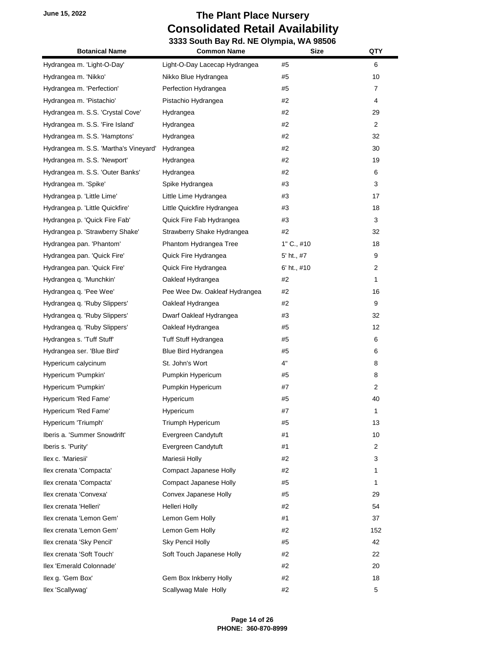# **June 15, 2022 The Plant Place Nursery Consolidated Retail Availability**

| Consolidated Retail Availability<br>3333 South Bay Rd. NE Olympia, WA 98506 |                               |              |     |
|-----------------------------------------------------------------------------|-------------------------------|--------------|-----|
| <b>Botanical Name</b>                                                       | <b>Common Name</b>            | <b>Size</b>  | QTY |
| Hydrangea m. 'Light-O-Day'                                                  | Light-O-Day Lacecap Hydrangea | #5           | 6   |
| Hydrangea m. 'Nikko'                                                        | Nikko Blue Hydrangea          | #5           | 10  |
| Hydrangea m. 'Perfection'                                                   | Perfection Hydrangea          | #5           | 7   |
| Hydrangea m. 'Pistachio'                                                    | Pistachio Hydrangea           | #2           | 4   |
| Hydrangea m. S.S. 'Crystal Cove'                                            | Hydrangea                     | #2           | 29  |
| Hydrangea m. S.S. 'Fire Island'                                             | Hydrangea                     | #2           | 2   |
| Hydrangea m. S.S. 'Hamptons'                                                | Hydrangea                     | #2           | 32  |
| Hydrangea m. S.S. 'Martha's Vineyard'                                       | Hydrangea                     | #2           | 30  |
| Hydrangea m. S.S. 'Newport'                                                 | Hydrangea                     | #2           | 19  |
| Hydrangea m. S.S. 'Outer Banks'                                             | Hydrangea                     | #2           | 6   |
| Hydrangea m. 'Spike'                                                        | Spike Hydrangea               | #3           | 3   |
| Hydrangea p. 'Little Lime'                                                  | Little Lime Hydrangea         | #3           | 17  |
| Hydrangea p. 'Little Quickfire'                                             | Little Quickfire Hydrangea    | #3           | 18  |
| Hydrangea p. 'Quick Fire Fab'                                               | Quick Fire Fab Hydrangea      | #3           | 3   |
| Hydrangea p. 'Strawberry Shake'                                             | Strawberry Shake Hydrangea    | #2           | 32  |
| Hydrangea pan. 'Phantom'                                                    | Phantom Hydrangea Tree        | $1"$ C., #10 | 18  |
| Hydrangea pan. 'Quick Fire'                                                 | Quick Fire Hydrangea          | 5' ht., #7   | 9   |
| Hydrangea pan. 'Quick Fire'                                                 | Quick Fire Hydrangea          | 6' ht., #10  | 2   |
| Hydrangea q. 'Munchkin'                                                     | Oakleaf Hydrangea             | #2           | 1   |
| Hydrangea q. 'Pee Wee'                                                      | Pee Wee Dw. Oakleaf Hydrangea | #2           | 16  |
| Hydrangea q. 'Ruby Slippers'                                                | Oakleaf Hydrangea             | #2           | 9   |
| Hydrangea q. 'Ruby Slippers'                                                | Dwarf Oakleaf Hydrangea       | #3           | 32  |
| Hydrangea q. 'Ruby Slippers'                                                | Oakleaf Hydrangea             | #5           | 12  |
| Hydrangea s. 'Tuff Stuff'                                                   | Tuff Stuff Hydrangea          | #5           | 6   |
| Hydrangea ser. 'Blue Bird'                                                  | Blue Bird Hydrangea           | #5           | 6   |
| Hypericum calycinum                                                         | St. John's Wort               | 4"           | 8   |
| Hypericum 'Pumpkin'                                                         | Pumpkin Hypericum             | #5           | 8   |
| Hypericum 'Pumpkin'                                                         | Pumpkin Hypericum             | #7           | 2   |
| Hypericum 'Red Fame'                                                        | Hypericum                     | #5           | 40  |
| Hypericum 'Red Fame'                                                        | Hypericum                     | #7           | 1   |
| Hypericum 'Triumph'                                                         | Triumph Hypericum             | #5           | 13  |
| Iberis a. 'Summer Snowdrift'                                                | Evergreen Candytuft           | #1           | 10  |
| Iberis s. 'Purity'                                                          | Evergreen Candytuft           | #1           | 2   |
| Ilex c. 'Mariesii'                                                          | Mariesii Holly                | #2           | 3   |
| Ilex crenata 'Compacta'                                                     | Compact Japanese Holly        | #2           | 1   |
| Ilex crenata 'Compacta'                                                     | Compact Japanese Holly        | #5           | 1   |
| Ilex crenata 'Convexa'                                                      | Convex Japanese Holly         | #5           | 29  |
| llex crenata 'Helleri'                                                      | Helleri Holly                 | #2           | 54  |
| Ilex crenata 'Lemon Gem'                                                    | Lemon Gem Holly               | #1           | 37  |
| Ilex crenata 'Lemon Gem'                                                    | Lemon Gem Holly               | #2           | 152 |
| Ilex crenata 'Sky Pencil'                                                   | Sky Pencil Holly              | #5           | 42  |
| Ilex crenata 'Soft Touch'                                                   | Soft Touch Japanese Holly     | #2           | 22  |

Ilex 'Emerald Colonnade' #2 20 Ilex g. 'Gem Box' Gem Box Inkberry Holly  $\#2$   $\qquad$  18 Ilex 'Scallywag' **Scallywag Male Holly 12** 5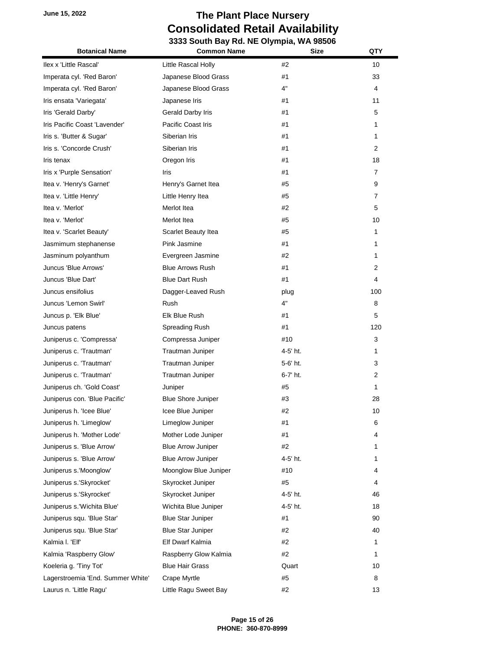| <b>Botanical Name</b>             | <b>Common Name</b>         | <b>Size</b> | QTY            |
|-----------------------------------|----------------------------|-------------|----------------|
| Ilex x 'Little Rascal'            | Little Rascal Holly        | #2          | 10             |
| Imperata cyl. 'Red Baron'         | Japanese Blood Grass       | #1          | 33             |
| Imperata cyl. 'Red Baron'         | Japanese Blood Grass       | 4"          | 4              |
| Iris ensata 'Variegata'           | Japanese Iris              | #1          | 11             |
| Iris 'Gerald Darby'               | Gerald Darby Iris          | #1          | 5              |
| Iris Pacific Coast 'Lavender'     | Pacific Coast Iris         | #1          | 1              |
| Iris s. 'Butter & Sugar'          | Siberian Iris              | #1          | 1              |
| Iris s. 'Concorde Crush'          | Siberian Iris              | #1          | $\overline{2}$ |
| Iris tenax                        | Oregon Iris                | #1          | 18             |
| Iris x 'Purple Sensation'         | Iris                       | #1          | $\overline{7}$ |
| Itea v. 'Henry's Garnet'          | Henry's Garnet Itea        | #5          | 9              |
| Itea v. 'Little Henry'            | Little Henry Itea          | #5          | $\overline{7}$ |
| Itea v. 'Merlot'                  | Merlot Itea                | #2          | 5              |
| Itea v. 'Merlot'                  | Merlot Itea                | #5          | 10             |
| Itea v. 'Scarlet Beauty'          | <b>Scarlet Beauty Itea</b> | #5          | 1              |
| Jasmimum stephanense              | Pink Jasmine               | #1          | 1              |
| Jasminum polyanthum               | Evergreen Jasmine          | #2          | 1              |
| Juncus 'Blue Arrows'              | <b>Blue Arrows Rush</b>    | #1          | $\overline{2}$ |
| Juncus 'Blue Dart'                | <b>Blue Dart Rush</b>      | #1          | 4              |
| Juncus ensifolius                 | Dagger-Leaved Rush         | plug        | 100            |
| Juncus 'Lemon Swirl'              | Rush                       | 4"          | 8              |
| Juncus p. 'Elk Blue'              | Elk Blue Rush              | #1          | 5              |
| Juncus patens                     | Spreading Rush             | #1          | 120            |
| Juniperus c. 'Compressa'          | Compressa Juniper          | #10         | 3              |
| Juniperus c. 'Trautman'           | Trautman Juniper           | 4-5' ht.    | 1              |
| Juniperus c. 'Trautman'           | Trautman Juniper           | 5-6' ht.    | 3              |
| Juniperus c. 'Trautman'           | Trautman Juniper           | 6-7' ht.    | $\overline{2}$ |
| Juniperus ch. 'Gold Coast'        | Juniper                    | #5          | 1              |
| Juniperus con. 'Blue Pacific'     | <b>Blue Shore Juniper</b>  | #3          | 28             |
| Juniperus h. 'Icee Blue'          | Icee Blue Juniper          | #2          | 10             |
| Juniperus h. 'Limeglow'           | Limeglow Juniper           | #1          | 6              |
| Juniperus h. 'Mother Lode'        | Mother Lode Juniper        | #1          | 4              |
| Juniperus s. 'Blue Arrow'         | <b>Blue Arrow Juniper</b>  | #2          | 1              |
| Juniperus s. 'Blue Arrow'         | <b>Blue Arrow Juniper</b>  | 4-5' ht.    | 1              |
| Juniperus s.'Moonglow'            | Moonglow Blue Juniper      | #10         | 4              |
| Juniperus s.'Skyrocket'           | Skyrocket Juniper          | #5          | 4              |
| Juniperus s.'Skyrocket'           | Skyrocket Juniper          | 4-5' ht.    | 46             |
| Juniperus s.'Wichita Blue'        | Wichita Blue Juniper       | 4-5' ht.    | 18             |
| Juniperus squ. 'Blue Star'        | <b>Blue Star Juniper</b>   | #1          | 90             |
| Juniperus squ. 'Blue Star'        | <b>Blue Star Juniper</b>   | #2          | 40             |
| Kalmia I. 'Elf'                   | Elf Dwarf Kalmia           | #2          | 1              |
| Kalmia 'Raspberry Glow'           | Raspberry Glow Kalmia      | #2          | 1              |
| Koeleria g. 'Tiny Tot'            | <b>Blue Hair Grass</b>     | Quart       | 10             |
| Lagerstroemia 'End. Summer White' | Crape Myrtle               | #5          | 8              |
| Laurus n. 'Little Ragu'           | Little Ragu Sweet Bay      | #2          | 13             |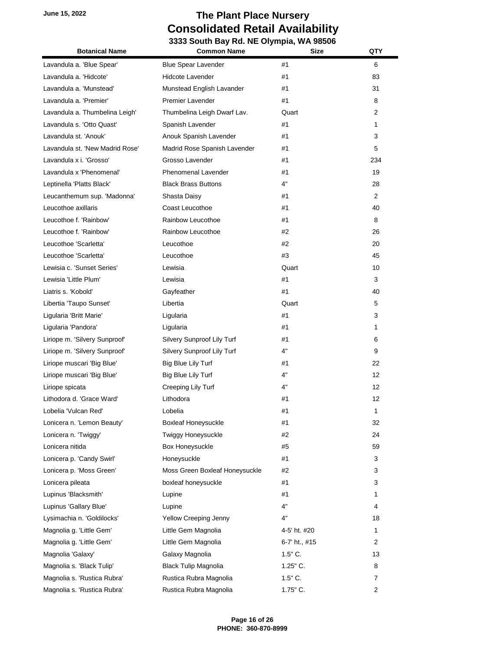| <b>Botanical Name</b>           | <b>Common Name</b>             | <b>Size</b>   | QTY            |
|---------------------------------|--------------------------------|---------------|----------------|
| Lavandula a. 'Blue Spear'       | <b>Blue Spear Lavender</b>     | #1            | 6              |
| Lavandula a. 'Hidcote'          | <b>Hidcote Lavender</b>        | #1            | 83             |
| Lavandula a. 'Munstead'         | Munstead English Lavander      | #1            | 31             |
| Lavandula a. 'Premier'          | Premier Lavender               | #1            | 8              |
| Lavandula a. Thumbelina Leigh'  | Thumbelina Leigh Dwarf Lav.    | Quart         | 2              |
| Lavandula s. 'Otto Quast'       | Spanish Lavender               | #1            | 1              |
| Lavandula st. 'Anouk'           | Anouk Spanish Lavender         | #1            | 3              |
| Lavandula st. 'New Madrid Rose' | Madrid Rose Spanish Lavender   | #1            | 5              |
| Lavandula x i. 'Grosso'         | Grosso Lavender                | #1            | 234            |
| Lavandula x 'Phenomenal'        | <b>Phenomenal Lavender</b>     | #1            | 19             |
| Leptinella 'Platts Black'       | <b>Black Brass Buttons</b>     | 4"            | 28             |
| Leucanthemum sup. 'Madonna'     | Shasta Daisy                   | #1            | 2              |
| Leucothoe axillaris             | Coast Leucothoe                | #1            | 40             |
| Leucothoe f. 'Rainbow'          | Rainbow Leucothoe              | #1            | 8              |
| Leucothoe f. 'Rainbow'          | Rainbow Leucothoe              | #2            | 26             |
| Leucothoe 'Scarletta'           | Leucothoe                      | #2            | 20             |
| Leucothoe 'Scarletta'           | Leucothoe                      | #3            | 45             |
| Lewisia c. 'Sunset Series'      | Lewisia                        | Quart         | 10             |
| Lewisia 'Little Plum'           | Lewisia                        | #1            | 3              |
| Liatris s. 'Kobold'             | Gayfeather                     | #1            | 40             |
| Libertia 'Taupo Sunset'         | Libertia                       | Quart         | 5              |
| Ligularia 'Britt Marie'         | Ligularia                      | #1            | 3              |
| Ligularia 'Pandora'             | Ligularia                      | #1            | 1              |
| Liriope m. 'Silvery Sunproof'   | Silvery Sunproof Lily Turf     | #1            | 6              |
| Liriope m. 'Silvery Sunproof'   | Silvery Sunproof Lily Turf     | 4"            | 9              |
| Liriope muscari 'Big Blue'      | Big Blue Lily Turf             | #1            | 22             |
| Liriope muscari 'Big Blue'      | Big Blue Lily Turf             | 4"            | 12             |
| Liriope spicata                 | Creeping Lily Turf             | 4"            | 12             |
| Lithodora d. 'Grace Ward'       | Lithodora                      | #1            | 12             |
| Lobelia 'Vulcan Red'            | Lobelia                        | #1            | 1              |
| Lonicera n. 'Lemon Beauty'      | <b>Boxleaf Honeysuckle</b>     | #1            | 32             |
| Lonicera n. 'Twiggy'            | Twiggy Honeysuckle             | #2            | 24             |
| Lonicera nitida                 | Box Honeysuckle                | #5            | 59             |
| Lonicera p. 'Candy Swirl'       | Honeysuckle                    | #1            | 3              |
| Lonicera p. 'Moss Green'        | Moss Green Boxleaf Honeysuckle | #2            | 3              |
| Lonicera pileata                | boxleaf honeysuckle            | #1            | 3              |
| Lupinus 'Blacksmith'            | Lupine                         | #1            | 1              |
| Lupinus 'Gallary Blue'          | Lupine                         | 4"            | 4              |
| Lysimachia n. 'Goldilocks'      | Yellow Creeping Jenny          | 4"            | 18             |
| Magnolia g. 'Little Gem'        | Little Gem Magnolia            | 4-5' ht. #20  | 1              |
| Magnolia g. 'Little Gem'        | Little Gem Magnolia            | 6-7' ht., #15 | 2              |
| Magnolia 'Galaxy'               | Galaxy Magnolia                | $1.5"$ C.     | 13             |
| Magnolia s. 'Black Tulip'       | <b>Black Tulip Magnolia</b>    | $1.25$ " C.   | 8              |
| Magnolia s. 'Rustica Rubra'     | Rustica Rubra Magnolia         | $1.5"$ C.     | 7              |
| Magnolia s. 'Rustica Rubra'     | Rustica Rubra Magnolia         | 1.75" C.      | $\overline{2}$ |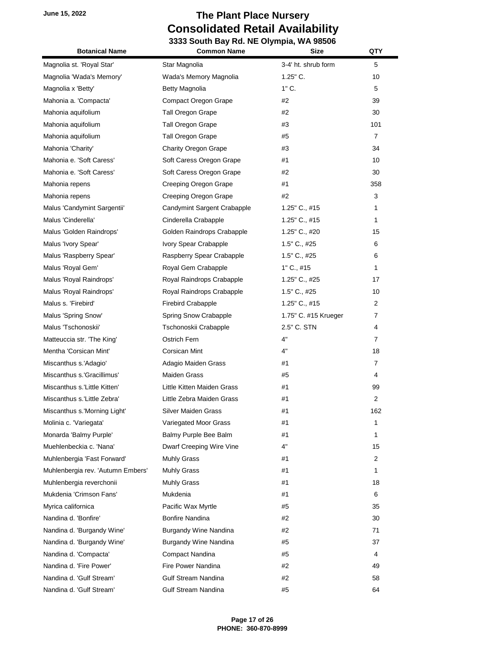| <b>Botanical Name</b>             | <b>Common Name</b>           | <b>Size</b>          | QTY            |
|-----------------------------------|------------------------------|----------------------|----------------|
| Magnolia st. 'Royal Star'         | Star Magnolia                | 3-4' ht. shrub form  | 5              |
| Magnolia 'Wada's Memory'          | Wada's Memory Magnolia       | $1.25$ " C.          | 10             |
| Magnolia x 'Betty'                | <b>Betty Magnolia</b>        | $1"$ C.              | 5              |
| Mahonia a. 'Compacta'             | <b>Compact Oregon Grape</b>  | #2                   | 39             |
| Mahonia aquifolium                | <b>Tall Oregon Grape</b>     | #2                   | 30             |
| Mahonia aquifolium                | Tall Oregon Grape            | #3                   | 101            |
| Mahonia aquifolium                | Tall Oregon Grape            | #5                   | $\overline{7}$ |
| Mahonia 'Charity'                 | <b>Charity Oregon Grape</b>  | #3                   | 34             |
| Mahonia e. 'Soft Caress'          | Soft Caress Oregon Grape     | #1                   | 10             |
| Mahonia e. 'Soft Caress'          | Soft Caress Oregon Grape     | #2                   | 30             |
| Mahonia repens                    | Creeping Oregon Grape        | #1                   | 358            |
| Mahonia repens                    | Creeping Oregon Grape        | #2                   | 3              |
| Malus 'Candymint Sargentii'       | Candymint Sargent Crabapple  | $1.25$ " C., #15     | 1              |
| Malus 'Cinderella'                | Cinderella Crabapple         | 1.25" C., #15        | 1              |
| Malus 'Golden Raindrops'          | Golden Raindrops Crabapple   | 1.25" C., #20        | 15             |
| Malus 'Ivory Spear'               | Ivory Spear Crabapple        | 1.5" C., #25         | 6              |
| Malus 'Raspberry Spear'           | Raspberry Spear Crabapple    | 1.5" C., #25         | 6              |
| Malus 'Royal Gem'                 | Royal Gem Crabapple          | 1" C., #15           | 1              |
| Malus 'Royal Raindrops'           | Royal Raindrops Crabapple    | 1.25" C., #25        | 17             |
| Malus 'Royal Raindrops'           | Royal Raindrops Crabapple    | 1.5" C., #25         | 10             |
| Malus s. 'Firebird'               | <b>Firebird Crabapple</b>    | $1.25$ " C., #15     | 2              |
| Malus 'Spring Snow'               | Spring Snow Crabapple        | 1.75" C. #15 Krueger | $\overline{7}$ |
| Malus 'Tschonoskii'               | Tschonoskii Crabapple        | 2.5" C. STN          | 4              |
| Matteuccia str. 'The King'        | Ostrich Fern                 | 4"                   | $\overline{7}$ |
| Mentha 'Corsican Mint'            | Corsican Mint                | 4"                   | 18             |
| Miscanthus s.'Adagio'             | Adagio Maiden Grass          | #1                   | $\overline{7}$ |
| Miscanthus s.'Gracillimus'        | <b>Maiden Grass</b>          | #5                   | 4              |
| Miscanthus s.'Little Kitten'      | Little Kitten Maiden Grass   | #1                   | 99             |
| Miscanthus s.'Little Zebra'       | Little Zebra Maiden Grass    | #1                   | $\overline{2}$ |
| Miscanthus s.'Morning Light'      | Silver Maiden Grass          | #1                   | 162            |
| Molinia c. 'Variegata'            | Variegated Moor Grass        | #1                   | 1              |
| Monarda 'Balmy Purple'            | Balmy Purple Bee Balm        | #1                   | 1              |
| Muehlenbeckia c. 'Nana'           | Dwarf Creeping Wire Vine     | 4"                   | 15             |
| Muhlenbergia 'Fast Forward'       | Muhly Grass                  | #1                   | 2              |
| Muhlenbergia rev. 'Autumn Embers' | Muhly Grass                  | #1                   | 1              |
| Muhlenbergia reverchonii          | Muhly Grass                  | #1                   | 18             |
| Mukdenia 'Crimson Fans'           | Mukdenia                     | #1                   | 6              |
| Myrica californica                | Pacific Wax Myrtle           | #5                   | 35             |
| Nandina d. 'Bonfire'              | Bonfire Nandina              | #2                   | 30             |
| Nandina d. 'Burgandy Wine'        | <b>Burgandy Wine Nandina</b> | #2                   | 71             |
| Nandina d. 'Burgandy Wine'        | <b>Burgandy Wine Nandina</b> | #5                   | 37             |
| Nandina d. 'Compacta'             | Compact Nandina              | #5                   | 4              |
| Nandina d. 'Fire Power'           | Fire Power Nandina           | #2                   | 49             |
| Nandina d. 'Gulf Stream'          | <b>Gulf Stream Nandina</b>   | #2                   | 58             |
| Nandina d. 'Gulf Stream'          | Gulf Stream Nandina          | #5                   | 64             |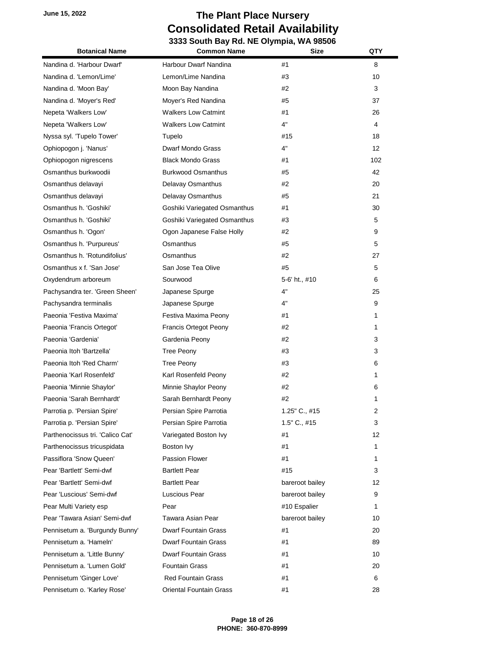| <b>Botanical Name</b>            | <b>Common Name</b>             | <b>Size</b>      | QTY               |
|----------------------------------|--------------------------------|------------------|-------------------|
| Nandina d. 'Harbour Dwarf'       | Harbour Dwarf Nandina          | #1               | 8                 |
| Nandina d. 'Lemon/Lime'          | Lemon/Lime Nandina             | #3               | 10                |
| Nandina d. 'Moon Bay'            | Moon Bay Nandina               | #2               | 3                 |
| Nandina d. 'Moyer's Red'         | Moyer's Red Nandina            | #5               | 37                |
| Nepeta 'Walkers Low'             | <b>Walkers Low Catmint</b>     | #1               | 26                |
| Nepeta 'Walkers Low'             | <b>Walkers Low Catmint</b>     | 4"               | 4                 |
| Nyssa syl. 'Tupelo Tower'        | Tupelo                         | #15              | 18                |
| Ophiopogon j. 'Nanus'            | Dwarf Mondo Grass              | 4"               | $12 \overline{ }$ |
| Ophiopogon nigrescens            | <b>Black Mondo Grass</b>       | #1               | 102               |
| Osmanthus burkwoodii             | <b>Burkwood Osmanthus</b>      | #5               | 42                |
| Osmanthus delavayi               | Delavay Osmanthus              | #2               | 20                |
| Osmanthus delavayi               | Delavay Osmanthus              | #5               | 21                |
| Osmanthus h. 'Goshiki'           | Goshiki Variegated Osmanthus   | #1               | 30                |
| Osmanthus h. 'Goshiki'           | Goshiki Variegated Osmanthus   | #3               | 5                 |
| Osmanthus h. 'Ogon'              | Ogon Japanese False Holly      | #2               | 9                 |
| Osmanthus h. 'Purpureus'         | Osmanthus                      | #5               | 5                 |
| Osmanthus h. 'Rotundifolius'     | Osmanthus                      | #2               | 27                |
| Osmanthus x f. 'San Jose'        | San Jose Tea Olive             | #5               | 5                 |
| Oxydendrum arboreum              | Sourwood                       | 5-6' ht., #10    | 6                 |
| Pachysandra ter. 'Green Sheen'   | Japanese Spurge                | 4"               | 25                |
| Pachysandra terminalis           | Japanese Spurge                | 4"               | 9                 |
| Paeonia 'Festiva Maxima'         | Festiva Maxima Peony           | #1               | 1                 |
| Paeonia 'Francis Ortegot'        | Francis Ortegot Peony          | #2               | 1                 |
| Paeonia 'Gardenia'               | Gardenia Peony                 | #2               | 3                 |
| Paeonia Itoh 'Bartzella'         | Tree Peony                     | #3               | 3                 |
| Paeonia Itoh 'Red Charm'         | Tree Peony                     | #3               | 6                 |
| Paeonia 'Karl Rosenfeld'         | Karl Rosenfeld Peony           | #2               | 1                 |
| Paeonia 'Minnie Shaylor'         | Minnie Shaylor Peony           | #2               | 6                 |
| Paeonia 'Sarah Bernhardt'        | Sarah Bernhardt Peony          | #2               | 1                 |
| Parrotia p. 'Persian Spire'      | Persian Spire Parrotia         | $1.25$ " C., #15 | 2                 |
| Parrotia p. 'Persian Spire'      | Persian Spire Parrotia         | 1.5" C., #15     | 3                 |
| Parthenocissus tri. 'Calico Cat' | Variegated Boston Ivy          | #1               | 12                |
| Parthenocissus tricuspidata      | Boston Ivy                     | #1               | 1                 |
| Passiflora 'Snow Queen'          | Passion Flower                 | #1               | 1                 |
| Pear 'Bartlett' Semi-dwf         | <b>Bartlett Pear</b>           | #15              | 3                 |
| Pear 'Bartlett' Semi-dwf         | <b>Bartlett Pear</b>           | bareroot bailey  | 12                |
| Pear 'Luscious' Semi-dwf         | Luscious Pear                  | bareroot bailey  | 9                 |
| Pear Multi Variety esp           | Pear                           | #10 Espalier     | 1                 |
| Pear 'Tawara Asian' Semi-dwf     | Tawara Asian Pear              | bareroot bailey  | 10                |
| Pennisetum a. 'Burgundy Bunny'   | <b>Dwarf Fountain Grass</b>    | #1               | 20                |
| Pennisetum a. 'Hameln'           | <b>Dwarf Fountain Grass</b>    | #1               | 89                |
| Pennisetum a. 'Little Bunny'     | <b>Dwarf Fountain Grass</b>    | #1               | 10                |
| Pennisetum a. 'Lumen Gold'       | <b>Fountain Grass</b>          | #1               | 20                |
| Pennisetum 'Ginger Love'         | <b>Red Fountain Grass</b>      | #1               | 6                 |
| Pennisetum o. 'Karley Rose'      | <b>Oriental Fountain Grass</b> | #1               | 28                |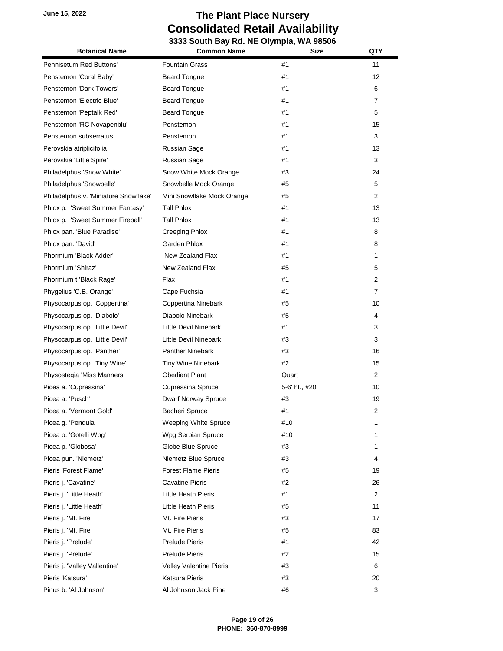| <b>Botanical Name</b>                 | <b>Common Name</b>         | <b>Size</b>   | QTY            |
|---------------------------------------|----------------------------|---------------|----------------|
| Pennisetum Red Buttons'               | <b>Fountain Grass</b>      | #1            | 11             |
| Penstemon 'Coral Baby'                | <b>Beard Tongue</b>        | #1            | 12             |
| Penstemon 'Dark Towers'               | <b>Beard Tongue</b>        | #1            | 6              |
| Penstemon 'Electric Blue'             | <b>Beard Tongue</b>        | #1            | $\overline{7}$ |
| Penstemon 'Peptalk Red'               | <b>Beard Tongue</b>        | #1            | 5              |
| Penstemon 'RC Novapenblu'             | Penstemon                  | #1            | 15             |
| Penstemon subserratus                 | Penstemon                  | #1            | 3              |
| Perovskia atriplicifolia              | Russian Sage               | #1            | 13             |
| Perovskia 'Little Spire'              | Russian Sage               | #1            | 3              |
| Philadelphus 'Snow White'             | Snow White Mock Orange     | #3            | 24             |
| Philadelphus 'Snowbelle'              | Snowbelle Mock Orange      | #5            | 5              |
| Philadelphus v. 'Miniature Snowflake' | Mini Snowflake Mock Orange | #5            | 2              |
| Phlox p. 'Sweet Summer Fantasy'       | Tall Phlox                 | #1            | 13             |
| Phlox p. 'Sweet Summer Fireball'      | Tall Phlox                 | #1            | 13             |
| Phlox pan. 'Blue Paradise'            | <b>Creeping Phlox</b>      | #1            | 8              |
| Phlox pan. 'David'                    | Garden Phlox               | #1            | 8              |
| Phormium 'Black Adder'                | New Zealand Flax           | #1            | 1              |
| Phormium 'Shiraz'                     | New Zealand Flax           | #5            | 5              |
| Phormium t 'Black Rage'               | Flax                       | #1            | 2              |
| Phygelius 'C.B. Orange'               | Cape Fuchsia               | #1            | 7              |
| Physocarpus op. 'Coppertina'          | Coppertina Ninebark        | #5            | 10             |
| Physocarpus op. 'Diabolo'             | Diabolo Ninebark           | #5            | 4              |
| Physocarpus op. 'Little Devil'        | Little Devil Ninebark      | #1            | 3              |
| Physocarpus op. 'Little Devil'        | Little Devil Ninebark      | #3            | 3              |
| Physocarpus op. 'Panther'             | <b>Panther Ninebark</b>    | #3            | 16             |
| Physocarpus op. 'Tiny Wine'           | Tiny Wine Ninebark         | #2            | 15             |
| Physostegia 'Miss Manners'            | <b>Obediant Plant</b>      | Quart         | $\overline{2}$ |
| Picea a. 'Cupressina'                 | Cupressina Spruce          | 5-6' ht., #20 | 10             |
| Picea a. 'Pusch'                      | Dwarf Norway Spruce        | #3            | 19             |
| Picea a. 'Vermont Gold'               | Bacheri Spruce             | #1            | 2              |
| Picea g. 'Pendula'                    | Weeping White Spruce       | #10           | 1              |
| Picea o. 'Gotelli Wpg'                | Wpg Serbian Spruce         | #10           | 1              |
| Picea p. 'Globosa'                    | Globe Blue Spruce          | #3            | 1              |
| Picea pun. 'Niemetz'                  | Niemetz Blue Spruce        | #3            | 4              |
| Pieris 'Forest Flame'                 | <b>Forest Flame Pieris</b> | #5            | 19             |
| Pieris j. 'Cavatine'                  | <b>Cavatine Pieris</b>     | #2            | 26             |
| Pieris j. 'Little Heath'              | Little Heath Pieris        | #1            | 2              |
| Pieris j. 'Little Heath'              | Little Heath Pieris        | #5            | 11             |
| Pieris j. 'Mt. Fire'                  | Mt. Fire Pieris            | #3            | 17             |
| Pieris j. 'Mt. Fire'                  | Mt. Fire Pieris            | #5            | 83             |
| Pieris j. 'Prelude'                   | <b>Prelude Pieris</b>      | #1            | 42             |
| Pieris j. 'Prelude'                   | <b>Prelude Pieris</b>      | #2            | 15             |
| Pieris j. 'Valley Vallentine'         | Valley Valentine Pieris    | #3            | 6              |
| Pieris 'Katsura'                      | Katsura Pieris             | #3            | 20             |
| Pinus b. 'Al Johnson'                 | Al Johnson Jack Pine       | #6            | 3              |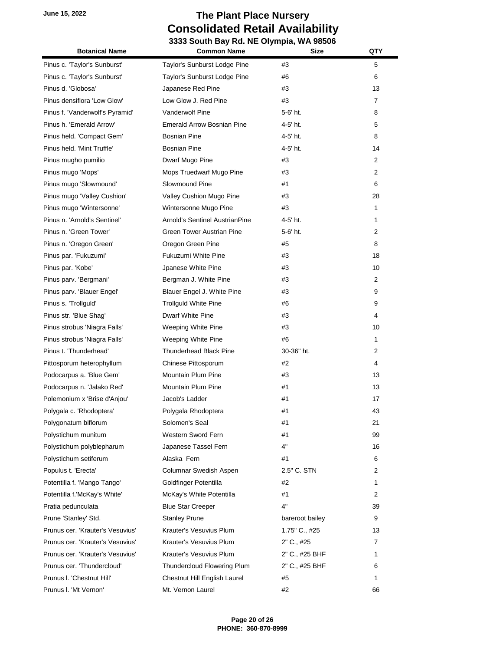| <b>Botanical Name</b>            | <b>Common Name</b>                    | <b>Size</b>     | QTY            |
|----------------------------------|---------------------------------------|-----------------|----------------|
| Pinus c. 'Taylor's Sunburst'     | Taylor's Sunburst Lodge Pine          | #3              | 5              |
| Pinus c. 'Taylor's Sunburst'     | Taylor's Sunburst Lodge Pine          | #6              | 6              |
| Pinus d. 'Globosa'               | Japanese Red Pine                     | #3              | 13             |
| Pinus densiflora 'Low Glow'      | Low Glow J. Red Pine                  | #3              | 7              |
| Pinus f. 'Vanderwolf's Pyramid'  | <b>Vanderwolf Pine</b>                | 5-6' ht.        | 8              |
| Pinus h. 'Emerald Arrow'         | <b>Emerald Arrow Bosnian Pine</b>     | 4-5' ht.        | 5              |
| Pinus held. 'Compact Gem'        | Bosnian Pine                          | 4-5' ht.        | 8              |
| Pinus held. 'Mint Truffle'       | <b>Bosnian Pine</b>                   | 4-5' ht.        | 14             |
| Pinus mugho pumilio              | Dwarf Mugo Pine                       | #3              | $\overline{2}$ |
| Pinus mugo 'Mops'                | Mops Truedwarf Mugo Pine              | #3              | 2              |
| Pinus mugo 'Slowmound'           | Slowmound Pine                        | #1              | 6              |
| Pinus mugo 'Valley Cushion'      | Valley Cushion Mugo Pine              | #3              | 28             |
| Pinus mugo 'Wintersonne'         | Wintersonne Mugo Pine                 | #3              | 1              |
| Pinus n. 'Arnold's Sentinel'     | <b>Arnold's Sentinel AustrianPine</b> | 4-5' ht.        | 1              |
| Pinus n. 'Green Tower'           | <b>Green Tower Austrian Pine</b>      | 5-6' ht.        | 2              |
| Pinus n. 'Oregon Green'          | Oregon Green Pine                     | #5              | 8              |
| Pinus par. 'Fukuzumi'            | Fukuzumi White Pine                   | #3              | 18             |
| Pinus par. 'Kobe'                | Jpanese White Pine                    | #3              | 10             |
| Pinus parv. 'Bergmani'           | Bergman J. White Pine                 | #3              | 2              |
| Pinus parv. 'Blauer Engel'       | Blauer Engel J. White Pine            | #3              | 9              |
| Pinus s. 'Trollguld'             | <b>Trollguld White Pine</b>           | #6              | 9              |
| Pinus str. 'Blue Shag'           | Dwarf White Pine                      | #3              | 4              |
| Pinus strobus 'Niagra Falls'     | Weeping White Pine                    | #3              | 10             |
| Pinus strobus 'Niagra Falls'     | Weeping White Pine                    | #6              | 1              |
| Pinus t. 'Thunderhead'           | <b>Thunderhead Black Pine</b>         | 30-36" ht.      | 2              |
| Pittosporum heterophyllum        | Chinese Pittosporum                   | #2              | 4              |
| Podocarpus a. 'Blue Gem'         | Mountain Plum Pine                    | #3              | 13             |
| Podocarpus n. 'Jalako Red'       | <b>Mountain Plum Pine</b>             | #1              | 13             |
| Polemonium x 'Brise d'Anjou'     | Jacob's Ladder                        | #1              | 17             |
| Polygala c. 'Rhodoptera'         | Polygala Rhodoptera                   | #1              | 43             |
| Polygonatum biflorum             | Solomen's Seal                        | #1              | 21             |
| Polystichum munitum              | Western Sword Fern                    | #1              | 99             |
| Polystichum polyblepharum        | Japanese Tassel Fern                  | 4"              | 16             |
| Polystichum setiferum            | Alaska Fern                           | #1              | 6              |
| Populus t. 'Erecta'              | Columnar Swedish Aspen                | 2.5" C. STN     | 2              |
| Potentilla f. 'Mango Tango'      | Goldfinger Potentilla                 | #2              | 1              |
| Potentilla f.'McKay's White'     | McKay's White Potentilla              | #1              | 2              |
| Pratia pedunculata               | <b>Blue Star Creeper</b>              | 4"              | 39             |
| Prune 'Stanley' Std.             | <b>Stanley Prune</b>                  | bareroot bailey | 9              |
| Prunus cer. 'Krauter's Vesuvius' | Krauter's Vesuvius Plum               | 1.75" C., #25   | 13             |
| Prunus cer. 'Krauter's Vesuvius' | Krauter's Vesuvius Plum               | 2" C., #25      | 7              |
| Prunus cer. 'Krauter's Vesuvius' | Krauter's Vesuvius Plum               | 2" C., #25 BHF  | 1              |
| Prunus cer. 'Thundercloud'       | Thundercloud Flowering Plum           | 2" C., #25 BHF  | 6              |
| Prunus I. 'Chestnut Hill'        | Chestnut Hill English Laurel          | #5              | 1              |
| Prunus I. 'Mt Vernon'            | Mt. Vernon Laurel                     | #2              | 66             |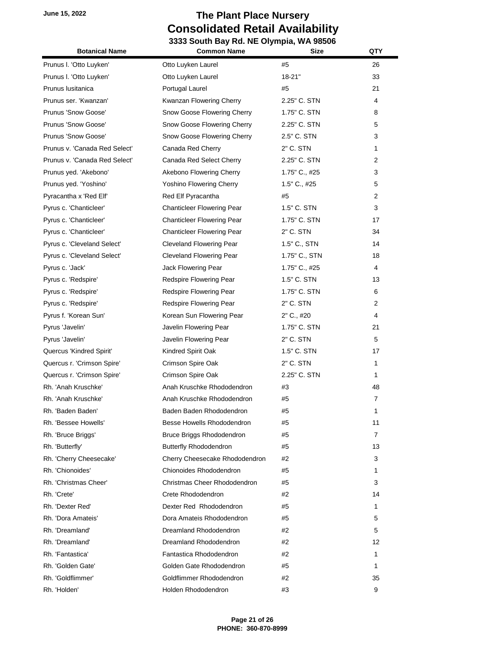| <b>Botanical Name</b>         | <b>Common Name</b>                | <b>Size</b>   | QTY            |
|-------------------------------|-----------------------------------|---------------|----------------|
| Prunus I. 'Otto Luyken'       | Otto Luyken Laurel                | #5            | 26             |
| Prunus I. 'Otto Luyken'       | Otto Luyken Laurel                | $18 - 21"$    | 33             |
| Prunus Iusitanica             | Portugal Laurel                   | #5            | 21             |
| Prunus ser. 'Kwanzan'         | Kwanzan Flowering Cherry          | 2.25" C. STN  | 4              |
| Prunus 'Snow Goose'           | Snow Goose Flowering Cherry       | 1.75" C. STN  | 8              |
| Prunus 'Snow Goose'           | Snow Goose Flowering Cherry       | 2.25" C. STN  | 5              |
| Prunus 'Snow Goose'           | Snow Goose Flowering Cherry       | 2.5" C. STN   | 3              |
| Prunus v. 'Canada Red Select' | Canada Red Cherry                 | 2" C. STN     | 1              |
| Prunus v. 'Canada Red Select' | Canada Red Select Cherry          | 2.25" C. STN  | 2              |
| Prunus yed. 'Akebono'         | Akebono Flowering Cherry          | 1.75" C., #25 | 3              |
| Prunus yed. 'Yoshino'         | Yoshino Flowering Cherry          | 1.5" C., #25  | 5              |
| Pyracantha x 'Red Elf'        | Red Elf Pyracantha                | #5            | $\overline{2}$ |
| Pyrus c. 'Chanticleer'        | <b>Chanticleer Flowering Pear</b> | 1.5" C. STN   | 3              |
| Pyrus c. 'Chanticleer'        | Chanticleer Flowering Pear        | 1.75" C. STN  | 17             |
| Pyrus c. 'Chanticleer'        | <b>Chanticleer Flowering Pear</b> | 2" C. STN     | 34             |
| Pyrus c. 'Cleveland Select'   | <b>Cleveland Flowering Pear</b>   | 1.5" C., STN  | 14             |
| Pyrus c. 'Cleveland Select'   | <b>Cleveland Flowering Pear</b>   | 1.75" C., STN | 18             |
| Pyrus c. 'Jack'               | Jack Flowering Pear               | 1.75" C., #25 | 4              |
| Pyrus c. 'Redspire'           | Redspire Flowering Pear           | 1.5" C. STN   | 13             |
| Pyrus c. 'Redspire'           | Redspire Flowering Pear           | 1.75" C. STN  | 6              |
| Pyrus c. 'Redspire'           | Redspire Flowering Pear           | 2" C. STN     | $\overline{2}$ |
| Pyrus f. 'Korean Sun'         | Korean Sun Flowering Pear         | 2" C., #20    | 4              |
| Pyrus 'Javelin'               | Javelin Flowering Pear            | 1.75" C. STN  | 21             |
| Pyrus 'Javelin'               | Javelin Flowering Pear            | 2" C. STN     | 5              |
| Quercus 'Kindred Spirit'      | Kindred Spirit Oak                | 1.5" C. STN   | 17             |
| Quercus r. 'Crimson Spire'    | Crimson Spire Oak                 | 2" C. STN     | $\mathbf{1}$   |
| Quercus r. 'Crimson Spire'    | Crimson Spire Oak                 | 2.25" C. STN  | 1              |
| Rh. 'Anah Kruschke'           | Anah Kruschke Rhododendron        | #3            | 48             |
| Rh. 'Anah Kruschke'           | Anah Kruschke Rhododendron        | #5            | $\overline{7}$ |
| Rh. 'Baden Baden'             | Baden Baden Rhododendron          | #5            | 1              |
| Rh. 'Bessee Howells'          | Besse Howells Rhododendron        | #5            | 11             |
| Rh. 'Bruce Briggs'            | Bruce Briggs Rhododendron         | #5            | 7              |
| Rh. 'Butterfly'               | <b>Butterfly Rhododendron</b>     | #5            | 13             |
| Rh. 'Cherry Cheesecake'       | Cherry Cheesecake Rhododendron    | #2            | 3              |
| Rh. 'Chionoides'              | Chionoides Rhododendron           | #5            | 1              |
| Rh. 'Christmas Cheer'         | Christmas Cheer Rhododendron      | #5            | 3              |
| Rh. 'Crete'                   | Crete Rhododendron                | #2            | 14             |
| Rh. 'Dexter Red'              | Dexter Red Rhododendron           | #5            | 1              |
| Rh. 'Dora Amateis'            | Dora Amateis Rhododendron         | #5            | 5              |
| Rh. 'Dreamland'               | Dreamland Rhododendron            | #2            | 5              |
| Rh. 'Dreamland'               | Dreamland Rhododendron            | #2            | 12             |
| Rh. 'Fantastica'              | Fantastica Rhododendron           | #2            | 1              |
| Rh. 'Golden Gate'             | Golden Gate Rhododendron          | #5            | 1              |
| Rh. 'Goldflimmer'             | Goldflimmer Rhododendron          | #2            | 35             |
| Rh. 'Holden'                  | Holden Rhododendron               | #3            | 9              |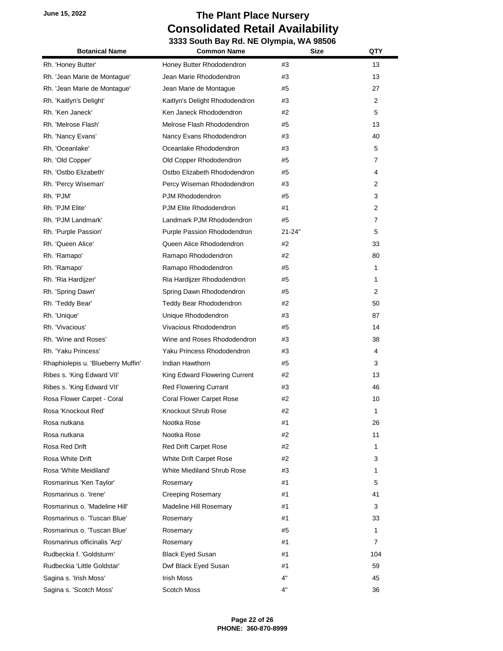| <b>Botanical Name</b>              | <b>Common Name</b>              | Size       | QTY            |
|------------------------------------|---------------------------------|------------|----------------|
| Rh. 'Honey Butter'                 | Honey Butter Rhododendron       | #3         | 13             |
| Rh. 'Jean Marie de Montague'       | Jean Marie Rhododendron         | #3         | 13             |
| Rh. 'Jean Marie de Montague'       | Jean Marie de Montague          | #5         | 27             |
| Rh. 'Kaitlyn's Delight'            | Kaitlyn's Delight Rhododendron  | #3         | $\overline{2}$ |
| Rh. 'Ken Janeck'                   | Ken Janeck Rhododendron         | #2         | 5              |
| Rh. 'Melrose Flash'                | Melrose Flash Rhododendron      | #5         | 13             |
| Rh. 'Nancy Evans'                  | Nancy Evans Rhododendron        | #3         | 40             |
| Rh. 'Oceanlake'                    | Oceanlake Rhododendron          | #3         | 5              |
| Rh. 'Old Copper'                   | Old Copper Rhododendron         | #5         | 7              |
| Rh. 'Ostbo Elizabeth'              | Ostbo Elizabeth Rhododendron    | #5         | 4              |
| Rh. 'Percy Wiseman'                | Percy Wiseman Rhododendron      | #3         | 2              |
| Rh. 'PJM'                          | PJM Rhododendron                | #5         | 3              |
| Rh. 'PJM Elite'                    | PJM Elite Rhododendron          | #1         | 2              |
| Rh. 'PJM Landmark'                 | Landmark PJM Rhododendron       | #5         | 7              |
| Rh. 'Purple Passion'               | Purple Passion Rhododendron     | $21 - 24"$ | 5              |
| Rh. 'Queen Alice'                  | Queen Alice Rhododendron        | #2         | 33             |
| Rh. 'Ramapo'                       | Ramapo Rhododendron             | #2         | 80             |
| Rh. 'Ramapo'                       | Ramapo Rhododendron             | #5         | 1              |
| Rh. 'Ria Hardijzer'                | Ria Hardijzer Rhododendron      | #5         | 1              |
| Rh. 'Spring Dawn'                  | Spring Dawn Rhododendron        | #5         | $\overline{2}$ |
| Rh. 'Teddy Bear'                   | Teddy Bear Rhododendron         | #2         | 50             |
| Rh. 'Unique'                       | Unique Rhododendron             | #3         | 87             |
| Rh. 'Vivacious'                    | Vivacious Rhododendron          | #5         | 14             |
| Rh. 'Wine and Roses'               | Wine and Roses Rhododendron     | #3         | 38             |
| Rh. 'Yaku Princess'                | Yaku Princess Rhododendron      | #3         | 4              |
| Rhaphiolepis u. 'Blueberry Muffin' | Indian Hawthorn                 | #5         | 3              |
| Ribes s. 'King Edward VII'         | King Edward Flowering Current   | #2         | 13             |
| Ribes s. 'King Edward VII'         | <b>Red Flowering Currant</b>    | #3         | 46             |
| Rosa Flower Carpet - Coral         | <b>Coral Flower Carpet Rose</b> | #2         | 10             |
| Rosa 'Knockout Red'                | Knockout Shrub Rose             | #2         | 1              |
| Rosa nutkana                       | Nootka Rose                     | #1         | 26             |
| Rosa nutkana                       | Nootka Rose                     | #2         | 11             |
| Rosa Red Drift                     | Red Drift Carpet Rose           | #2         | 1              |
| Rosa White Drift                   | White Drift Carpet Rose         | #2         | 3              |
| Rosa 'White Meidiland'             | White Miediland Shrub Rose      | #3         | 1              |
| Rosmarinus 'Ken Taylor'            | Rosemary                        | #1         | 5              |
| Rosmarinus o. 'Irene'              | <b>Creeping Rosemary</b>        | #1         | 41             |
| Rosmarinus o. 'Madeline Hill'      | Madeline Hill Rosemary          | #1         | 3              |
| Rosmarinus o. 'Tuscan Blue'        | Rosemary                        | #1         | 33             |
| Rosmarinus o. 'Tuscan Blue'        | Rosemary                        | #5         | 1              |
| Rosmarinus officinalis 'Arp'       | Rosemary                        | #1         | 7              |
| Rudbeckia f. 'Goldsturm'           | <b>Black Eyed Susan</b>         | #1         | 104            |
| Rudbeckia 'Little Goldstar'        | Dwf Black Eyed Susan            | #1         | 59             |
| Sagina s. 'Irish Moss'             | <b>Irish Moss</b>               | 4"         | 45             |
| Sagina s. 'Scotch Moss'            | Scotch Moss                     | 4"         | 36             |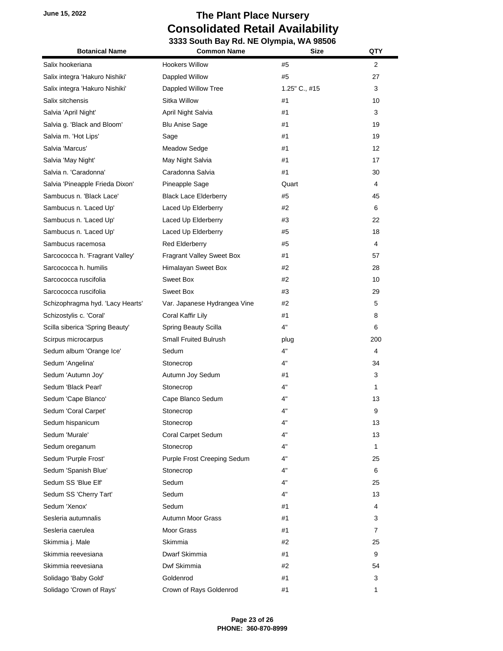| <b>Botanical Name</b>            | <b>Common Name</b>           | Size          | QTY            |
|----------------------------------|------------------------------|---------------|----------------|
| Salix hookeriana                 | <b>Hookers Willow</b>        | #5            | $\overline{2}$ |
| Salix integra 'Hakuro Nishiki'   | Dappled Willow               | #5            | 27             |
| Salix integra 'Hakuro Nishiki'   | Dappled Willow Tree          | 1.25" C., #15 | 3              |
| Salix sitchensis                 | Sitka Willow                 | #1            | 10             |
| Salvia 'April Night'             | April Night Salvia           | #1            | 3              |
| Salvia g. 'Black and Bloom'      | <b>Blu Anise Sage</b>        | #1            | 19             |
| Salvia m. 'Hot Lips'             | Sage                         | #1            | 19             |
| Salvia 'Marcus'                  | <b>Meadow Sedge</b>          | #1            | 12             |
| Salvia 'May Night'               | May Night Salvia             | #1            | 17             |
| Salvia n. 'Caradonna'            | Caradonna Salvia             | #1            | 30             |
| Salvia 'Pineapple Frieda Dixon'  | Pineapple Sage               | Quart         | 4              |
| Sambucus n. 'Black Lace'         | <b>Black Lace Elderberry</b> | #5            | 45             |
| Sambucus n. 'Laced Up'           | Laced Up Elderberry          | #2            | 6              |
| Sambucus n. 'Laced Up'           | Laced Up Elderberry          | #3            | 22             |
| Sambucus n. 'Laced Up'           | Laced Up Elderberry          | #5            | 18             |
| Sambucus racemosa                | <b>Red Elderberry</b>        | #5            | 4              |
| Sarcococca h. 'Fragrant Valley'  | Fragrant Valley Sweet Box    | #1            | 57             |
| Sarcococca h. humilis            | Himalayan Sweet Box          | #2            | 28             |
| Sarcococca ruscifolia            | Sweet Box                    | #2            | 10             |
| Sarcococca ruscifolia            | Sweet Box                    | #3            | 29             |
| Schizophragma hyd. 'Lacy Hearts' | Var. Japanese Hydrangea Vine | #2            | 5              |
| Schizostylis c. 'Coral'          | Coral Kaffir Lily            | #1            | 8              |
| Scilla siberica 'Spring Beauty'  | Spring Beauty Scilla         | 4"            | 6              |
| Scirpus microcarpus              | Small Fruited Bulrush        | plug          | 200            |
| Sedum album 'Orange Ice'         | Sedum                        | 4"            | 4              |
| Sedum 'Angelina'                 | Stonecrop                    | 4"            | 34             |
| Sedum 'Autumn Joy'               | Autumn Joy Sedum             | #1            | 3              |
| Sedum 'Black Pearl'              | Stonecrop                    | 4"            | 1              |
| Sedum 'Cape Blanco'              | Cape Blanco Sedum            | 4"            | 13             |
| Sedum 'Coral Carpet'             | Stonecrop                    | 4"            | 9              |
| Sedum hispanicum                 | Stonecrop                    | 4"            | 13             |
| Sedum 'Murale'                   | Coral Carpet Sedum           | 4"            | 13             |
| Sedum oreganum                   | Stonecrop                    | 4"            | 1              |
| Sedum 'Purple Frost'             | Purple Frost Creeping Sedum  | 4"            | 25             |
| Sedum 'Spanish Blue'             | Stonecrop                    | 4"            | 6              |
| Sedum SS 'Blue Elf'              | Sedum                        | 4"            | 25             |
| Sedum SS 'Cherry Tart'           | Sedum                        | 4"            | 13             |
| Sedum 'Xenox'                    | Sedum                        | #1            | 4              |
| Sesleria autumnalis              | Autumn Moor Grass            | #1            | 3              |
| Sesleria caerulea                | Moor Grass                   | #1            | $\overline{7}$ |
| Skimmia j. Male                  | Skimmia                      | #2            | 25             |
| Skimmia reevesiana               | Dwarf Skimmia                | #1            | 9              |
| Skimmia reevesiana               | Dwf Skimmia                  | #2            | 54             |
| Solidago 'Baby Gold'             | Goldenrod                    | #1            | 3              |
| Solidago 'Crown of Rays'         | Crown of Rays Goldenrod      | #1            | 1              |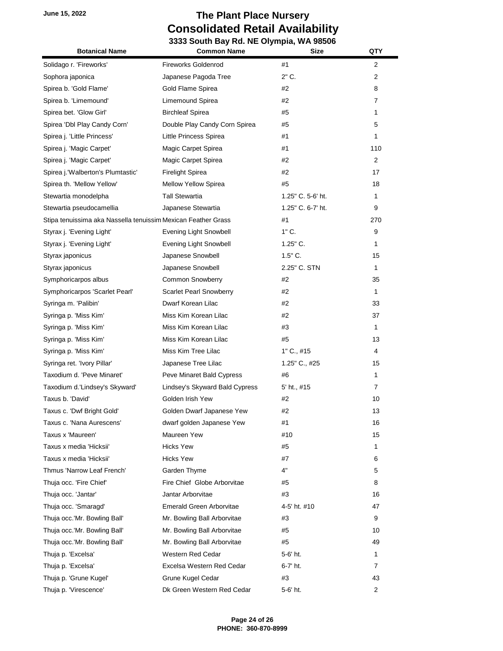| <b>Botanical Name</b>                                         | <b>Common Name</b>              | <b>Size</b>       | QTY            |
|---------------------------------------------------------------|---------------------------------|-------------------|----------------|
| Solidago r. 'Fireworks'                                       | <b>Fireworks Goldenrod</b>      | #1                | 2              |
| Sophora japonica                                              | Japanese Pagoda Tree            | 2" C.             | 2              |
| Spirea b. 'Gold Flame'                                        | Gold Flame Spirea               | #2                | 8              |
| Spirea b. 'Limemound'                                         | Limemound Spirea                | #2                | 7              |
| Spirea bet. 'Glow Girl'                                       | <b>Birchleaf Spirea</b>         | #5                | 1              |
| Spirea 'Dbl Play Candy Corn'                                  | Double Play Candy Corn Spirea   | #5                | 5              |
| Spirea j. 'Little Princess'                                   | Little Princess Spirea          | #1                | 1              |
| Spirea j. 'Magic Carpet'                                      | Magic Carpet Spirea             | #1                | 110            |
| Spirea j. 'Magic Carpet'                                      | Magic Carpet Spirea             | #2                | $\overline{2}$ |
| Spirea j. 'Walberton's Plumtastic'                            | <b>Firelight Spirea</b>         | #2                | 17             |
| Spirea th. 'Mellow Yellow'                                    | <b>Mellow Yellow Spirea</b>     | #5                | 18             |
| Stewartia monodelpha                                          | <b>Tall Stewartia</b>           | 1.25" C. 5-6' ht. | 1              |
| Stewartia pseudocamellia                                      | Japanese Stewartia              | 1.25" C. 6-7' ht. | 9              |
| Stipa tenuissima aka Nassella tenuissim Mexican Feather Grass |                                 | #1                | 270            |
| Styrax j. 'Evening Light'                                     | Evening Light Snowbell          | $1"$ C.           | 9              |
| Styrax j. 'Evening Light'                                     | Evening Light Snowbell          | $1.25$ " C.       | 1              |
| Styrax japonicus                                              | Japanese Snowbell               | $1.5"$ C.         | 15             |
| Styrax japonicus                                              | Japanese Snowbell               | 2.25" C. STN      | 1              |
| Symphoricarpos albus                                          | <b>Common Snowberry</b>         | #2                | 35             |
| Symphoricarpos 'Scarlet Pearl'                                | <b>Scarlet Pearl Snowberry</b>  | #2                | 1              |
| Syringa m. 'Palibin'                                          | Dwarf Korean Lilac              | #2                | 33             |
| Syringa p. 'Miss Kim'                                         | Miss Kim Korean Lilac           | #2                | 37             |
| Syringa p. 'Miss Kim'                                         | Miss Kim Korean Lilac           | #3                | 1              |
| Syringa p. 'Miss Kim'                                         | Miss Kim Korean Lilac           | #5                | 13             |
| Syringa p. 'Miss Kim'                                         | Miss Kim Tree Lilac             | $1"$ C., #15      | 4              |
| Syringa ret. 'Ivory Pillar'                                   | Japanese Tree Lilac             | 1.25" C., #25     | 15             |
| Taxodium d. 'Peve Minaret'                                    | Peve Minaret Bald Cypress       | #6                | 1              |
| Taxodium d.'Lindsey's Skyward'                                | Lindsey's Skyward Bald Cypress  | 5' ht., #15       | 7              |
| Taxus b. 'David'                                              | Golden Irish Yew                | #2                | 10             |
| Taxus c. 'Dwf Bright Gold'                                    | Golden Dwarf Japanese Yew       | #2                | 13             |
| Taxus c. 'Nana Aurescens'                                     | dwarf golden Japanese Yew       | #1                | 16             |
| Taxus x 'Maureen'                                             | Maureen Yew                     | #10               | 15             |
| Taxus x media 'Hicksii'                                       | <b>Hicks Yew</b>                | #5                | 1              |
| Taxus x media 'Hicksii'                                       | <b>Hicks Yew</b>                | #7                | 6              |
| Thmus 'Narrow Leaf French'                                    | Garden Thyme                    | 4"                | 5              |
| Thuja occ. 'Fire Chief'                                       | Fire Chief Globe Arborvitae     | #5                | 8              |
| Thuja occ. 'Jantar'                                           | Jantar Arborvitae               | #3                | 16             |
| Thuja occ. 'Smaragd'                                          | <b>Emerald Green Arborvitae</b> | 4-5' ht. #10      | 47             |
| Thuja occ.'Mr. Bowling Ball'                                  | Mr. Bowling Ball Arborvitae     | #3                | 9              |
| Thuja occ.'Mr. Bowling Ball'                                  | Mr. Bowling Ball Arborvitae     | #5                | 10             |
| Thuja occ.'Mr. Bowling Ball'                                  | Mr. Bowling Ball Arborvitae     | #5                | 49             |
| Thuja p. 'Excelsa'                                            | Western Red Cedar               | 5-6' ht.          | 1              |
| Thuja p. 'Excelsa'                                            | Excelsa Western Red Cedar       | 6-7' ht.          | 7              |
| Thuja p. 'Grune Kugel'                                        | Grune Kugel Cedar               | #3                | 43             |
| Thuja p. 'Virescence'                                         | Dk Green Western Red Cedar      | 5-6' ht.          | 2              |
|                                                               |                                 |                   |                |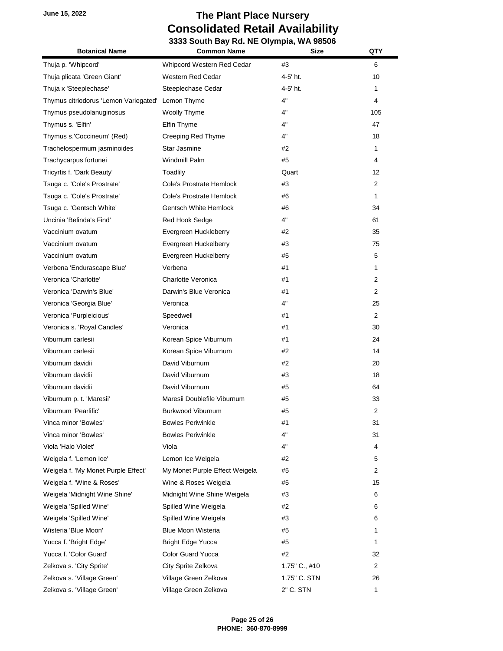| <b>Botanical Name</b>                 | <b>Common Name</b>             | <b>Size</b>   | QTY            |
|---------------------------------------|--------------------------------|---------------|----------------|
| Thuja p. 'Whipcord'                   | Whipcord Western Red Cedar     | #3            | 6              |
| Thuja plicata 'Green Giant'           | Western Red Cedar              | 4-5' ht.      | 10             |
| Thuja x 'Steeplechase'                | Steeplechase Cedar             | 4-5' ht.      | 1              |
| Thymus citriodorus 'Lemon Variegated' | Lemon Thyme                    | 4"            | 4              |
| Thymus pseudolanuginosus              | Woolly Thyme                   | 4"            | 105            |
| Thymus s. 'Elfin'                     | Elfin Thyme                    | 4"            | 47             |
| Thymus s.'Coccineum' (Red)            | Creeping Red Thyme             | 4"            | 18             |
| Trachelospermum jasminoides           | Star Jasmine                   | #2            | 1              |
| Trachycarpus fortunei                 | Windmill Palm                  | #5            | 4              |
| Tricyrtis f. 'Dark Beauty'            | Toadlily                       | Quart         | 12             |
| Tsuga c. 'Cole's Prostrate'           | Cole's Prostrate Hemlock       | #3            | 2              |
| Tsuga c. 'Cole's Prostrate'           | Cole's Prostrate Hemlock       | #6            | 1              |
| Tsuga c. 'Gentsch White'              | Gentsch White Hemlock          | #6            | 34             |
| Uncinia 'Belinda's Find'              | Red Hook Sedge                 | 4"            | 61             |
| Vaccinium ovatum                      | Evergreen Huckleberry          | #2            | 35             |
| Vaccinium ovatum                      | Evergreen Huckelberry          | #3            | 75             |
| Vaccinium ovatum                      | Evergreen Huckelberry          | #5            | 5              |
| Verbena 'Endurascape Blue'            | Verbena                        | #1            | 1              |
| Veronica 'Charlotte'                  | Charlotte Veronica             | #1            | 2              |
| Veronica 'Darwin's Blue'              | Darwin's Blue Veronica         | #1            | 2              |
| Veronica 'Georgia Blue'               | Veronica                       | 4"            | 25             |
| Veronica 'Purpleicious'               | Speedwell                      | #1            | $\overline{2}$ |
| Veronica s. 'Royal Candles'           | Veronica                       | #1            | 30             |
| Viburnum carlesii                     | Korean Spice Viburnum          | #1            | 24             |
| Viburnum carlesii                     | Korean Spice Viburnum          | #2            | 14             |
| Viburnum davidii                      | David Viburnum                 | #2            | 20             |
| Viburnum davidii                      | David Viburnum                 | #3            | 18             |
| Viburnum davidii                      | David Viburnum                 | #5            | 64             |
| Viburnum p. t. 'Maresii'              | Maresii Doublefile Viburnum    | #5            | 33             |
| Viburnum 'Pearlific'                  | Burkwood Viburnum              | #5            | 2              |
| Vinca minor 'Bowles'                  | <b>Bowles Periwinkle</b>       | #1            | 31             |
| Vinca minor 'Bowles'                  | <b>Bowles Periwinkle</b>       | 4"            | 31             |
| Viola 'Halo Violet'                   | Viola                          | 4"            | 4              |
| Weigela f. 'Lemon Ice'                | Lemon Ice Weigela              | #2            | 5              |
| Weigela f. 'My Monet Purple Effect'   | My Monet Purple Effect Weigela | #5            | 2              |
| Weigela f. 'Wine & Roses'             | Wine & Roses Weigela           | #5            | 15             |
| Weigela 'Midnight Wine Shine'         | Midnight Wine Shine Weigela    | #3            | 6              |
| Weigela 'Spilled Wine'                | Spilled Wine Weigela           | #2            | 6              |
| Weigela 'Spilled Wine'                | Spilled Wine Weigela           | #3            | 6              |
| Wisteria 'Blue Moon'                  | <b>Blue Moon Wisteria</b>      | #5            | 1              |
| Yucca f. 'Bright Edge'                | <b>Bright Edge Yucca</b>       | #5            | 1              |
| Yucca f. 'Color Guard'                | <b>Color Guard Yucca</b>       | #2            | 32             |
| Zelkova s. 'City Sprite'              | City Sprite Zelkova            | 1.75" C., #10 | 2              |
| Zelkova s. 'Village Green'            | Village Green Zelkova          | 1.75" C. STN  | 26             |
| Zelkova s. 'Village Green'            | Village Green Zelkova          | 2" C. STN     | 1              |